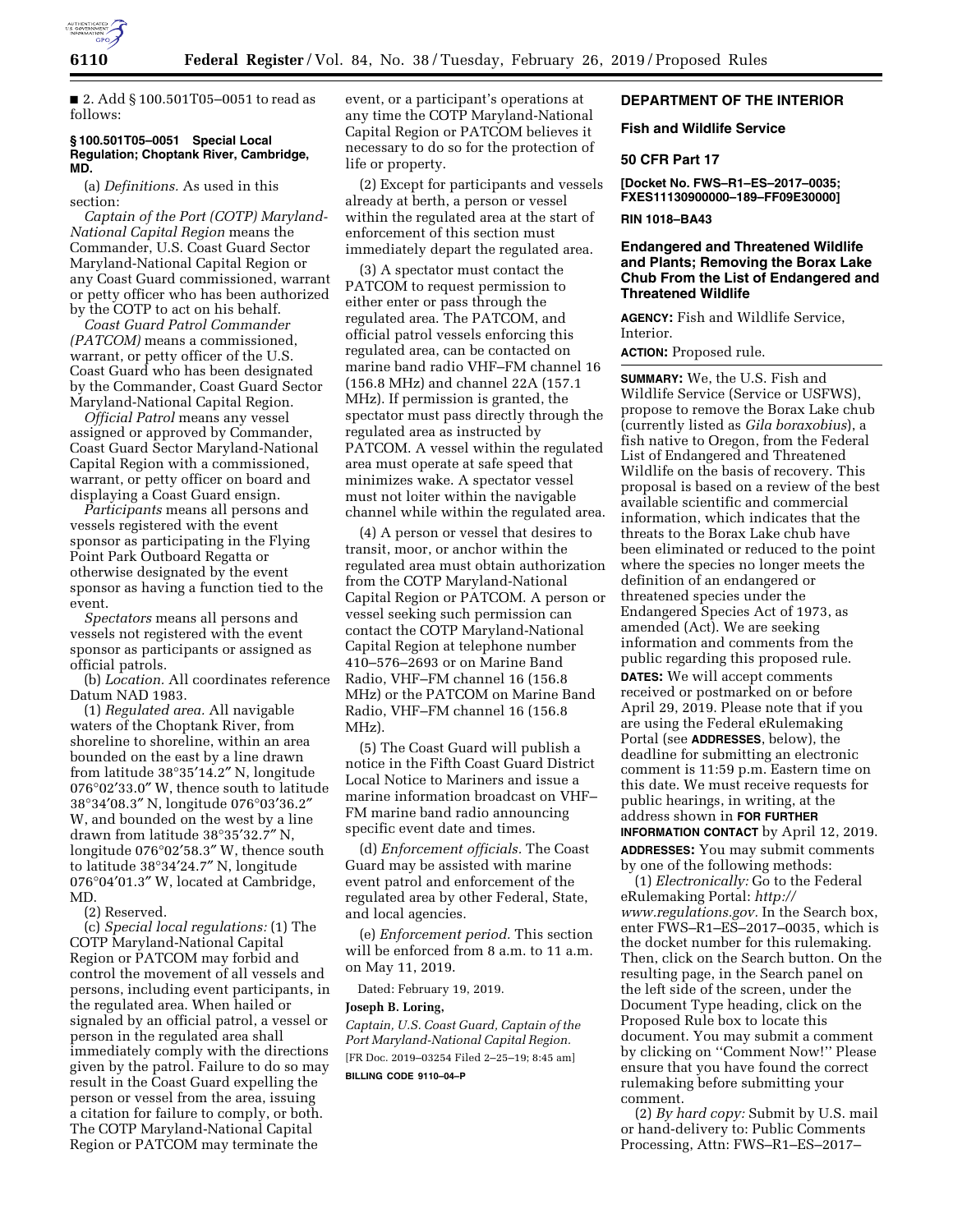

follows:

■ 2. Add § 100.501T05-0051 to read as

# **§ 100.501T05–0051 Special Local Regulation; Choptank River, Cambridge, MD.**

(a) *Definitions.* As used in this section:

*Captain of the Port (COTP) Maryland-National Capital Region* means the Commander, U.S. Coast Guard Sector Maryland-National Capital Region or any Coast Guard commissioned, warrant or petty officer who has been authorized by the COTP to act on his behalf.

*Coast Guard Patrol Commander (PATCOM)* means a commissioned, warrant, or petty officer of the U.S. Coast Guard who has been designated by the Commander, Coast Guard Sector Maryland-National Capital Region.

*Official Patrol* means any vessel assigned or approved by Commander, Coast Guard Sector Maryland-National Capital Region with a commissioned, warrant, or petty officer on board and displaying a Coast Guard ensign.

*Participants* means all persons and vessels registered with the event sponsor as participating in the Flying Point Park Outboard Regatta or otherwise designated by the event sponsor as having a function tied to the event.

*Spectators* means all persons and vessels not registered with the event sponsor as participants or assigned as official patrols.

(b) *Location.* All coordinates reference Datum NAD 1983.

(1) *Regulated area.* All navigable waters of the Choptank River, from shoreline to shoreline, within an area bounded on the east by a line drawn from latitude 38°35′14.2″ N, longitude 076°02′33.0″ W, thence south to latitude 38°34′08.3″ N, longitude 076°03′36.2″ W, and bounded on the west by a line drawn from latitude 38°35′32.7″ N, longitude 076°02′58.3″ W, thence south to latitude 38°34′24.7″ N, longitude 076°04′01.3″ W, located at Cambridge, MD.

(2) Reserved.

(c) *Special local regulations:* (1) The COTP Maryland-National Capital Region or PATCOM may forbid and control the movement of all vessels and persons, including event participants, in the regulated area. When hailed or signaled by an official patrol, a vessel or person in the regulated area shall immediately comply with the directions given by the patrol. Failure to do so may result in the Coast Guard expelling the person or vessel from the area, issuing a citation for failure to comply, or both. The COTP Maryland-National Capital Region or PATCOM may terminate the

event, or a participant's operations at any time the COTP Maryland-National Capital Region or PATCOM believes it necessary to do so for the protection of life or property.

(2) Except for participants and vessels already at berth, a person or vessel within the regulated area at the start of enforcement of this section must immediately depart the regulated area.

(3) A spectator must contact the PATCOM to request permission to either enter or pass through the regulated area. The PATCOM, and official patrol vessels enforcing this regulated area, can be contacted on marine band radio VHF–FM channel 16 (156.8 MHz) and channel 22A (157.1 MHz). If permission is granted, the spectator must pass directly through the regulated area as instructed by PATCOM. A vessel within the regulated area must operate at safe speed that minimizes wake. A spectator vessel must not loiter within the navigable channel while within the regulated area.

(4) A person or vessel that desires to transit, moor, or anchor within the regulated area must obtain authorization from the COTP Maryland-National Capital Region or PATCOM. A person or vessel seeking such permission can contact the COTP Maryland-National Capital Region at telephone number 410–576–2693 or on Marine Band Radio, VHF–FM channel 16 (156.8 MHz) or the PATCOM on Marine Band Radio, VHF–FM channel 16 (156.8 MHz).

(5) The Coast Guard will publish a notice in the Fifth Coast Guard District Local Notice to Mariners and issue a marine information broadcast on VHF– FM marine band radio announcing specific event date and times.

(d) *Enforcement officials.* The Coast Guard may be assisted with marine event patrol and enforcement of the regulated area by other Federal, State, and local agencies.

(e) *Enforcement period.* This section will be enforced from 8 a.m. to 11 a.m. on May 11, 2019.

Dated: February 19, 2019.

### **Joseph B. Loring,**

*Captain, U.S. Coast Guard, Captain of the Port Maryland-National Capital Region.*  [FR Doc. 2019–03254 Filed 2–25–19; 8:45 am]

# **BILLING CODE 9110–04–P**

# **DEPARTMENT OF THE INTERIOR**

### **Fish and Wildlife Service**

### **50 CFR Part 17**

**[Docket No. FWS–R1–ES–2017–0035; FXES11130900000–189–FF09E30000]** 

### **RIN 1018–BA43**

# **Endangered and Threatened Wildlife and Plants; Removing the Borax Lake Chub From the List of Endangered and Threatened Wildlife**

**AGENCY:** Fish and Wildlife Service, Interior.

# **ACTION:** Proposed rule.

**SUMMARY:** We, the U.S. Fish and Wildlife Service (Service or USFWS), propose to remove the Borax Lake chub (currently listed as *Gila boraxobius*), a fish native to Oregon, from the Federal List of Endangered and Threatened Wildlife on the basis of recovery. This proposal is based on a review of the best available scientific and commercial information, which indicates that the threats to the Borax Lake chub have been eliminated or reduced to the point where the species no longer meets the definition of an endangered or threatened species under the Endangered Species Act of 1973, as amended (Act). We are seeking information and comments from the public regarding this proposed rule. **DATES:** We will accept comments received or postmarked on or before April 29, 2019. Please note that if you are using the Federal eRulemaking Portal (see **ADDRESSES**, below), the deadline for submitting an electronic comment is 11:59 p.m. Eastern time on this date. We must receive requests for public hearings, in writing, at the address shown in **FOR FURTHER INFORMATION CONTACT** by April 12, 2019.

**ADDRESSES:** You may submit comments by one of the following methods:

(1) *Electronically:* Go to the Federal eRulemaking Portal: *[http://](http://www.regulations.gov) [www.regulations.gov.](http://www.regulations.gov)* In the Search box, enter FWS–R1–ES–2017–0035, which is the docket number for this rulemaking. Then, click on the Search button. On the resulting page, in the Search panel on the left side of the screen, under the Document Type heading, click on the Proposed Rule box to locate this document. You may submit a comment by clicking on ''Comment Now!'' Please ensure that you have found the correct rulemaking before submitting your comment.

(2) *By hard copy:* Submit by U.S. mail or hand-delivery to: Public Comments Processing, Attn: FWS–R1–ES–2017–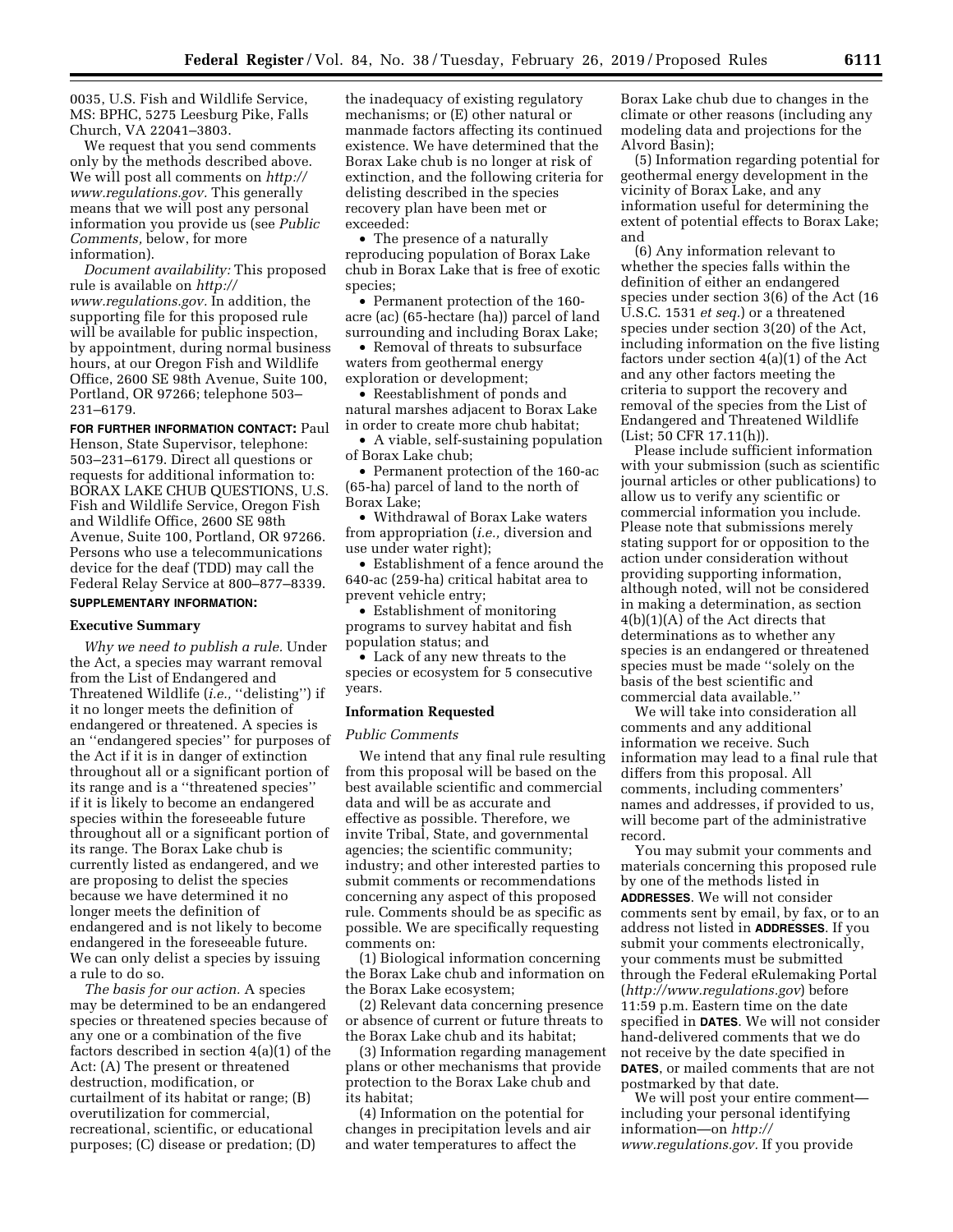0035, U.S. Fish and Wildlife Service, MS: BPHC, 5275 Leesburg Pike, Falls Church, VA 22041–3803.

We request that you send comments only by the methods described above. We will post all comments on *[http://](http://www.regulations.gov) [www.regulations.gov.](http://www.regulations.gov)* This generally means that we will post any personal information you provide us (see *Public Comments,* below, for more information).

*Document availability:* This proposed rule is available on *[http://](http://www.regulations.gov) [www.regulations.gov.](http://www.regulations.gov)* In addition, the supporting file for this proposed rule will be available for public inspection, by appointment, during normal business hours, at our Oregon Fish and Wildlife Office, 2600 SE 98th Avenue, Suite 100, Portland, OR 97266; telephone 503– 231–6179.

**FOR FURTHER INFORMATION CONTACT:** Paul Henson, State Supervisor, telephone: 503–231–6179. Direct all questions or requests for additional information to: BORAX LAKE CHUB QUESTIONS, U.S. Fish and Wildlife Service, Oregon Fish and Wildlife Office, 2600 SE 98th Avenue, Suite 100, Portland, OR 97266. Persons who use a telecommunications device for the deaf (TDD) may call the Federal Relay Service at 800–877–8339. **SUPPLEMENTARY INFORMATION:** 

# **Executive Summary**

*Why we need to publish a rule.* Under the Act, a species may warrant removal from the List of Endangered and Threatened Wildlife (*i.e.*, "delisting") if it no longer meets the definition of endangered or threatened. A species is an ''endangered species'' for purposes of the Act if it is in danger of extinction throughout all or a significant portion of its range and is a ''threatened species'' if it is likely to become an endangered species within the foreseeable future throughout all or a significant portion of its range. The Borax Lake chub is currently listed as endangered, and we are proposing to delist the species because we have determined it no longer meets the definition of endangered and is not likely to become endangered in the foreseeable future. We can only delist a species by issuing a rule to do so.

*The basis for our action.* A species may be determined to be an endangered species or threatened species because of any one or a combination of the five factors described in section 4(a)(1) of the Act: (A) The present or threatened destruction, modification, or curtailment of its habitat or range; (B) overutilization for commercial, recreational, scientific, or educational purposes; (C) disease or predation; (D)

the inadequacy of existing regulatory mechanisms; or (E) other natural or manmade factors affecting its continued existence. We have determined that the Borax Lake chub is no longer at risk of extinction, and the following criteria for delisting described in the species recovery plan have been met or exceeded:

• The presence of a naturally reproducing population of Borax Lake chub in Borax Lake that is free of exotic species;

• Permanent protection of the 160 acre (ac) (65-hectare (ha)) parcel of land surrounding and including Borax Lake;

• Removal of threats to subsurface waters from geothermal energy exploration or development;

• Reestablishment of ponds and natural marshes adjacent to Borax Lake in order to create more chub habitat;

• A viable, self-sustaining population of Borax Lake chub;

• Permanent protection of the 160-ac (65-ha) parcel of land to the north of Borax Lake;

• Withdrawal of Borax Lake waters from appropriation (*i.e.,* diversion and use under water right);

• Establishment of a fence around the 640-ac (259-ha) critical habitat area to prevent vehicle entry;

• Establishment of monitoring programs to survey habitat and fish population status; and

• Lack of any new threats to the species or ecosystem for 5 consecutive years.

#### **Information Requested**

#### *Public Comments*

We intend that any final rule resulting from this proposal will be based on the best available scientific and commercial data and will be as accurate and effective as possible. Therefore, we invite Tribal, State, and governmental agencies; the scientific community; industry; and other interested parties to submit comments or recommendations concerning any aspect of this proposed rule. Comments should be as specific as possible. We are specifically requesting comments on:

(1) Biological information concerning the Borax Lake chub and information on the Borax Lake ecosystem;

(2) Relevant data concerning presence or absence of current or future threats to the Borax Lake chub and its habitat;

(3) Information regarding management plans or other mechanisms that provide protection to the Borax Lake chub and its habitat;

(4) Information on the potential for changes in precipitation levels and air and water temperatures to affect the

Borax Lake chub due to changes in the climate or other reasons (including any modeling data and projections for the Alvord Basin);

(5) Information regarding potential for geothermal energy development in the vicinity of Borax Lake, and any information useful for determining the extent of potential effects to Borax Lake; and

(6) Any information relevant to whether the species falls within the definition of either an endangered species under section 3(6) of the Act (16 U.S.C. 1531 *et seq.*) or a threatened species under section 3(20) of the Act, including information on the five listing factors under section 4(a)(1) of the Act and any other factors meeting the criteria to support the recovery and removal of the species from the List of Endangered and Threatened Wildlife (List; 50 CFR 17.11(h)).

Please include sufficient information with your submission (such as scientific journal articles or other publications) to allow us to verify any scientific or commercial information you include. Please note that submissions merely stating support for or opposition to the action under consideration without providing supporting information, although noted, will not be considered in making a determination, as section 4(b)(1)(A) of the Act directs that determinations as to whether any species is an endangered or threatened species must be made ''solely on the basis of the best scientific and commercial data available.''

We will take into consideration all comments and any additional information we receive. Such information may lead to a final rule that differs from this proposal. All comments, including commenters' names and addresses, if provided to us, will become part of the administrative record.

You may submit your comments and materials concerning this proposed rule by one of the methods listed in **ADDRESSES**. We will not consider comments sent by email, by fax, or to an address not listed in **ADDRESSES**. If you submit your comments electronically, your comments must be submitted through the Federal eRulemaking Portal (*<http://www.regulations.gov>*) before 11:59 p.m. Eastern time on the date specified in **DATES**. We will not consider hand-delivered comments that we do not receive by the date specified in **DATES**, or mailed comments that are not postmarked by that date.

We will post your entire comment including your personal identifying information—on *[http://](http://www.regulations.gov) [www.regulations.gov.](http://www.regulations.gov)* If you provide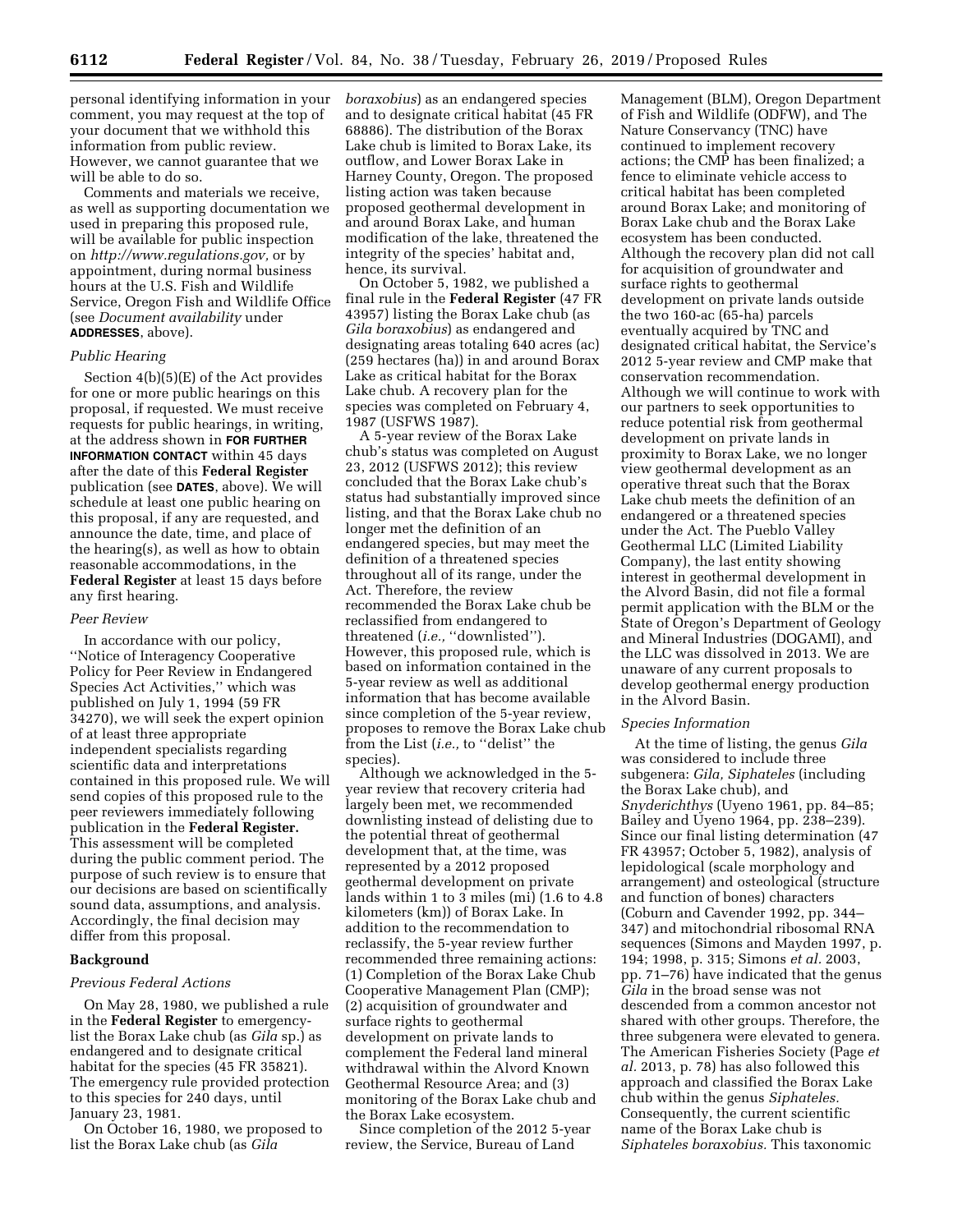personal identifying information in your comment, you may request at the top of your document that we withhold this information from public review. However, we cannot guarantee that we will be able to do so.

Comments and materials we receive, as well as supporting documentation we used in preparing this proposed rule, will be available for public inspection on *[http://www.regulations.gov,](http://www.regulations.gov)* or by appointment, during normal business hours at the U.S. Fish and Wildlife Service, Oregon Fish and Wildlife Office (see *Document availability* under **ADDRESSES**, above).

### *Public Hearing*

Section 4(b)(5)(E) of the Act provides for one or more public hearings on this proposal, if requested. We must receive requests for public hearings, in writing, at the address shown in **FOR FURTHER INFORMATION CONTACT** within 45 days after the date of this **Federal Register**  publication (see **DATES**, above). We will schedule at least one public hearing on this proposal, if any are requested, and announce the date, time, and place of the hearing(s), as well as how to obtain reasonable accommodations, in the **Federal Register** at least 15 days before any first hearing.

#### *Peer Review*

In accordance with our policy, ''Notice of Interagency Cooperative Policy for Peer Review in Endangered Species Act Activities,'' which was published on July 1, 1994 (59 FR 34270), we will seek the expert opinion of at least three appropriate independent specialists regarding scientific data and interpretations contained in this proposed rule. We will send copies of this proposed rule to the peer reviewers immediately following publication in the **Federal Register.**  This assessment will be completed during the public comment period. The purpose of such review is to ensure that our decisions are based on scientifically sound data, assumptions, and analysis. Accordingly, the final decision may differ from this proposal.

# **Background**

### *Previous Federal Actions*

On May 28, 1980, we published a rule in the **Federal Register** to emergencylist the Borax Lake chub (as *Gila* sp.) as endangered and to designate critical habitat for the species (45 FR 35821). The emergency rule provided protection to this species for 240 days, until January 23, 1981.

On October 16, 1980, we proposed to list the Borax Lake chub (as *Gila* 

*boraxobius*) as an endangered species and to designate critical habitat (45 FR 68886). The distribution of the Borax Lake chub is limited to Borax Lake, its outflow, and Lower Borax Lake in Harney County, Oregon. The proposed listing action was taken because proposed geothermal development in and around Borax Lake, and human modification of the lake, threatened the integrity of the species' habitat and, hence, its survival.

On October 5, 1982, we published a final rule in the **Federal Register** (47 FR 43957) listing the Borax Lake chub (as *Gila boraxobius*) as endangered and designating areas totaling 640 acres (ac) (259 hectares (ha)) in and around Borax Lake as critical habitat for the Borax Lake chub. A recovery plan for the species was completed on February 4, 1987 (USFWS 1987).

A 5-year review of the Borax Lake chub's status was completed on August 23, 2012 (USFWS 2012); this review concluded that the Borax Lake chub's status had substantially improved since listing, and that the Borax Lake chub no longer met the definition of an endangered species, but may meet the definition of a threatened species throughout all of its range, under the Act. Therefore, the review recommended the Borax Lake chub be reclassified from endangered to threatened (*i.e.*, "downlisted"). However, this proposed rule, which is based on information contained in the 5-year review as well as additional information that has become available since completion of the 5-year review, proposes to remove the Borax Lake chub from the List (*i.e.,* to ''delist'' the species).

Although we acknowledged in the 5 year review that recovery criteria had largely been met, we recommended downlisting instead of delisting due to the potential threat of geothermal development that, at the time, was represented by a 2012 proposed geothermal development on private lands within 1 to 3 miles (mi) (1.6 to 4.8 kilometers (km)) of Borax Lake. In addition to the recommendation to reclassify, the 5-year review further recommended three remaining actions: (1) Completion of the Borax Lake Chub Cooperative Management Plan (CMP); (2) acquisition of groundwater and surface rights to geothermal development on private lands to complement the Federal land mineral withdrawal within the Alvord Known Geothermal Resource Area; and (3) monitoring of the Borax Lake chub and the Borax Lake ecosystem.

Since completion of the 2012 5-year review, the Service, Bureau of Land

Management (BLM), Oregon Department of Fish and Wildlife (ODFW), and The Nature Conservancy (TNC) have continued to implement recovery actions; the CMP has been finalized; a fence to eliminate vehicle access to critical habitat has been completed around Borax Lake; and monitoring of Borax Lake chub and the Borax Lake ecosystem has been conducted. Although the recovery plan did not call for acquisition of groundwater and surface rights to geothermal development on private lands outside the two 160-ac (65-ha) parcels eventually acquired by TNC and designated critical habitat, the Service's 2012 5-year review and CMP make that conservation recommendation. Although we will continue to work with our partners to seek opportunities to reduce potential risk from geothermal development on private lands in proximity to Borax Lake, we no longer view geothermal development as an operative threat such that the Borax Lake chub meets the definition of an endangered or a threatened species under the Act. The Pueblo Valley Geothermal LLC (Limited Liability Company), the last entity showing interest in geothermal development in the Alvord Basin, did not file a formal permit application with the BLM or the State of Oregon's Department of Geology and Mineral Industries (DOGAMI), and the LLC was dissolved in 2013. We are unaware of any current proposals to develop geothermal energy production in the Alvord Basin.

#### *Species Information*

At the time of listing, the genus *Gila*  was considered to include three subgenera: *Gila, Siphateles* (including the Borax Lake chub), and *Snyderichthys* (Uyeno 1961, pp. 84–85; Bailey and Uyeno 1964, pp. 238–239). Since our final listing determination (47 FR 43957; October 5, 1982), analysis of lepidological (scale morphology and arrangement) and osteological (structure and function of bones) characters (Coburn and Cavender 1992, pp. 344– 347) and mitochondrial ribosomal RNA sequences (Simons and Mayden 1997, p. 194; 1998, p. 315; Simons *et al.* 2003, pp. 71–76) have indicated that the genus *Gila* in the broad sense was not descended from a common ancestor not shared with other groups. Therefore, the three subgenera were elevated to genera. The American Fisheries Society (Page *et al.* 2013, p. 78) has also followed this approach and classified the Borax Lake chub within the genus *Siphateles.*  Consequently, the current scientific name of the Borax Lake chub is *Siphateles boraxobius.* This taxonomic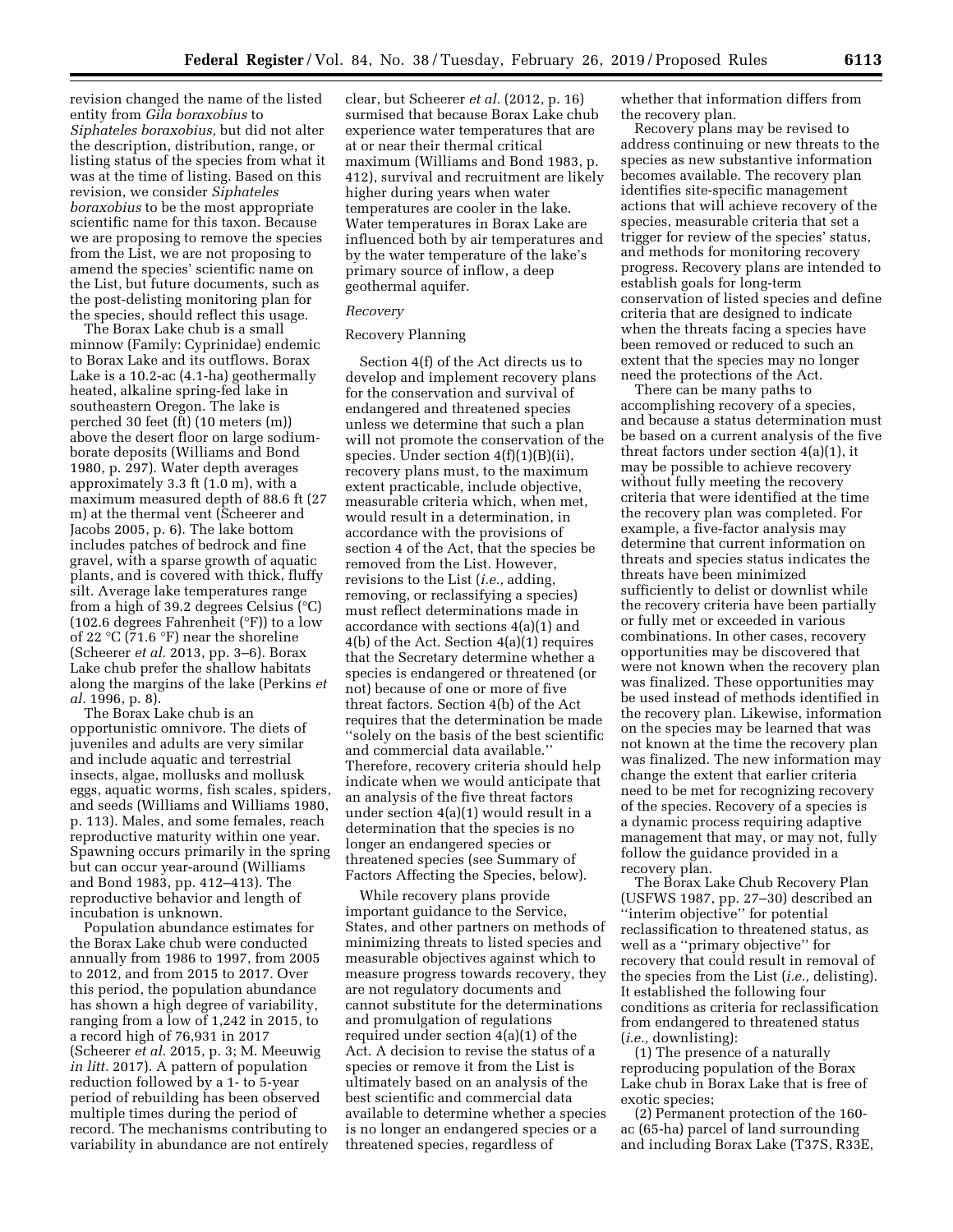revision changed the name of the listed entity from *Gila boraxobius* to *Siphateles boraxobius,* but did not alter the description, distribution, range, or listing status of the species from what it was at the time of listing. Based on this revision, we consider *Siphateles boraxobius* to be the most appropriate scientific name for this taxon. Because we are proposing to remove the species from the List, we are not proposing to amend the species' scientific name on the List, but future documents, such as the post-delisting monitoring plan for the species, should reflect this usage.

The Borax Lake chub is a small minnow (Family: Cyprinidae) endemic to Borax Lake and its outflows. Borax Lake is a 10.2-ac (4.1-ha) geothermally heated, alkaline spring-fed lake in southeastern Oregon. The lake is perched 30 feet (ft) (10 meters (m)) above the desert floor on large sodiumborate deposits (Williams and Bond 1980, p. 297). Water depth averages approximately 3.3 ft (1.0 m), with a maximum measured depth of 88.6 ft (27 m) at the thermal vent (Scheerer and Jacobs 2005, p. 6). The lake bottom includes patches of bedrock and fine gravel, with a sparse growth of aquatic plants, and is covered with thick, fluffy silt. Average lake temperatures range from a high of 39.2 degrees Celsius (°C) (102.6 degrees Fahrenheit (°F)) to a low of 22  $\mathrm{C}(71.6 \mathrm{P})$  near the shoreline (Scheerer *et al.* 2013, pp. 3–6). Borax Lake chub prefer the shallow habitats along the margins of the lake (Perkins *et al.* 1996, p. 8).

The Borax Lake chub is an opportunistic omnivore. The diets of juveniles and adults are very similar and include aquatic and terrestrial insects, algae, mollusks and mollusk eggs, aquatic worms, fish scales, spiders, and seeds (Williams and Williams 1980, p. 113). Males, and some females, reach reproductive maturity within one year. Spawning occurs primarily in the spring but can occur year-around (Williams and Bond 1983, pp. 412–413). The reproductive behavior and length of incubation is unknown.

Population abundance estimates for the Borax Lake chub were conducted annually from 1986 to 1997, from 2005 to 2012, and from 2015 to 2017. Over this period, the population abundance has shown a high degree of variability, ranging from a low of 1,242 in 2015, to a record high of 76,931 in 2017 (Scheerer *et al.* 2015, p. 3; M. Meeuwig *in litt.* 2017). A pattern of population reduction followed by a 1- to 5-year period of rebuilding has been observed multiple times during the period of record. The mechanisms contributing to variability in abundance are not entirely

clear, but Scheerer *et al.* (2012, p. 16) surmised that because Borax Lake chub experience water temperatures that are at or near their thermal critical maximum (Williams and Bond 1983, p. 412), survival and recruitment are likely higher during years when water temperatures are cooler in the lake. Water temperatures in Borax Lake are influenced both by air temperatures and by the water temperature of the lake's primary source of inflow, a deep geothermal aquifer.

### *Recovery*

### Recovery Planning

Section 4(f) of the Act directs us to develop and implement recovery plans for the conservation and survival of endangered and threatened species unless we determine that such a plan will not promote the conservation of the species. Under section 4(f)(1)(B)(ii), recovery plans must, to the maximum extent practicable, include objective, measurable criteria which, when met, would result in a determination, in accordance with the provisions of section 4 of the Act, that the species be removed from the List. However, revisions to the List (*i.e.,* adding, removing, or reclassifying a species) must reflect determinations made in accordance with sections 4(a)(1) and 4(b) of the Act. Section 4(a)(1) requires that the Secretary determine whether a species is endangered or threatened (or not) because of one or more of five threat factors. Section 4(b) of the Act requires that the determination be made ''solely on the basis of the best scientific and commercial data available.'' Therefore, recovery criteria should help indicate when we would anticipate that an analysis of the five threat factors under section 4(a)(1) would result in a determination that the species is no longer an endangered species or threatened species (see Summary of Factors Affecting the Species, below).

While recovery plans provide important guidance to the Service, States, and other partners on methods of minimizing threats to listed species and measurable objectives against which to measure progress towards recovery, they are not regulatory documents and cannot substitute for the determinations and promulgation of regulations required under section 4(a)(1) of the Act. A decision to revise the status of a species or remove it from the List is ultimately based on an analysis of the best scientific and commercial data available to determine whether a species is no longer an endangered species or a threatened species, regardless of

whether that information differs from the recovery plan.

Recovery plans may be revised to address continuing or new threats to the species as new substantive information becomes available. The recovery plan identifies site-specific management actions that will achieve recovery of the species, measurable criteria that set a trigger for review of the species' status, and methods for monitoring recovery progress. Recovery plans are intended to establish goals for long-term conservation of listed species and define criteria that are designed to indicate when the threats facing a species have been removed or reduced to such an extent that the species may no longer need the protections of the Act.

There can be many paths to accomplishing recovery of a species, and because a status determination must be based on a current analysis of the five threat factors under section 4(a)(1), it may be possible to achieve recovery without fully meeting the recovery criteria that were identified at the time the recovery plan was completed. For example, a five-factor analysis may determine that current information on threats and species status indicates the threats have been minimized sufficiently to delist or downlist while the recovery criteria have been partially or fully met or exceeded in various combinations. In other cases, recovery opportunities may be discovered that were not known when the recovery plan was finalized. These opportunities may be used instead of methods identified in the recovery plan. Likewise, information on the species may be learned that was not known at the time the recovery plan was finalized. The new information may change the extent that earlier criteria need to be met for recognizing recovery of the species. Recovery of a species is a dynamic process requiring adaptive management that may, or may not, fully follow the guidance provided in a recovery plan.

The Borax Lake Chub Recovery Plan (USFWS 1987, pp. 27–30) described an ''interim objective'' for potential reclassification to threatened status, as well as a ''primary objective'' for recovery that could result in removal of the species from the List (*i.e.,* delisting). It established the following four conditions as criteria for reclassification from endangered to threatened status (*i.e.,* downlisting):

(1) The presence of a naturally reproducing population of the Borax Lake chub in Borax Lake that is free of exotic species;

(2) Permanent protection of the 160 ac (65-ha) parcel of land surrounding and including Borax Lake (T37S, R33E,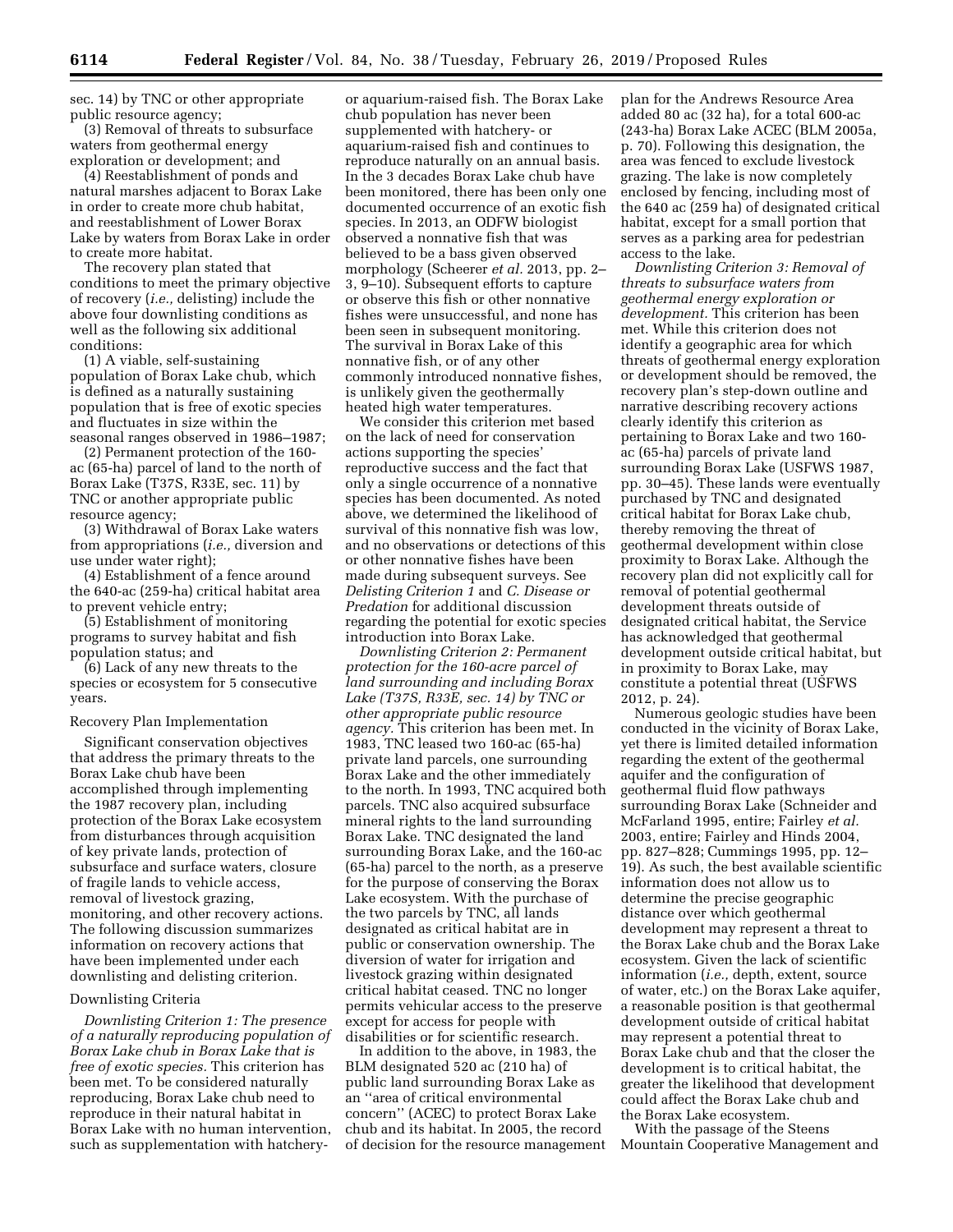sec. 14) by TNC or other appropriate public resource agency;

(3) Removal of threats to subsurface waters from geothermal energy exploration or development; and

(4) Reestablishment of ponds and natural marshes adjacent to Borax Lake in order to create more chub habitat, and reestablishment of Lower Borax Lake by waters from Borax Lake in order to create more habitat.

The recovery plan stated that conditions to meet the primary objective of recovery (*i.e.,* delisting) include the above four downlisting conditions as well as the following six additional conditions:

(1) A viable, self-sustaining population of Borax Lake chub, which is defined as a naturally sustaining population that is free of exotic species and fluctuates in size within the seasonal ranges observed in 1986–1987;

(2) Permanent protection of the 160 ac (65-ha) parcel of land to the north of Borax Lake (T37S, R33E, sec. 11) by TNC or another appropriate public resource agency;

(3) Withdrawal of Borax Lake waters from appropriations (*i.e.,* diversion and use under water right);

(4) Establishment of a fence around the 640-ac (259-ha) critical habitat area to prevent vehicle entry;

(5) Establishment of monitoring programs to survey habitat and fish population status; and

(6) Lack of any new threats to the species or ecosystem for 5 consecutive years.

### Recovery Plan Implementation

Significant conservation objectives that address the primary threats to the Borax Lake chub have been accomplished through implementing the 1987 recovery plan, including protection of the Borax Lake ecosystem from disturbances through acquisition of key private lands, protection of subsurface and surface waters, closure of fragile lands to vehicle access, removal of livestock grazing, monitoring, and other recovery actions. The following discussion summarizes information on recovery actions that have been implemented under each downlisting and delisting criterion.

### Downlisting Criteria

*Downlisting Criterion 1: The presence of a naturally reproducing population of Borax Lake chub in Borax Lake that is free of exotic species.* This criterion has been met. To be considered naturally reproducing, Borax Lake chub need to reproduce in their natural habitat in Borax Lake with no human intervention, such as supplementation with hatchery-

or aquarium-raised fish. The Borax Lake chub population has never been supplemented with hatchery- or aquarium-raised fish and continues to reproduce naturally on an annual basis. In the 3 decades Borax Lake chub have been monitored, there has been only one documented occurrence of an exotic fish species. In 2013, an ODFW biologist observed a nonnative fish that was believed to be a bass given observed morphology (Scheerer *et al.* 2013, pp. 2– 3, 9–10). Subsequent efforts to capture or observe this fish or other nonnative fishes were unsuccessful, and none has been seen in subsequent monitoring. The survival in Borax Lake of this nonnative fish, or of any other commonly introduced nonnative fishes, is unlikely given the geothermally heated high water temperatures.

We consider this criterion met based on the lack of need for conservation actions supporting the species' reproductive success and the fact that only a single occurrence of a nonnative species has been documented. As noted above, we determined the likelihood of survival of this nonnative fish was low, and no observations or detections of this or other nonnative fishes have been made during subsequent surveys. See *Delisting Criterion 1* and *C. Disease or Predation* for additional discussion regarding the potential for exotic species introduction into Borax Lake.

*Downlisting Criterion 2: Permanent protection for the 160-acre parcel of land surrounding and including Borax Lake (T37S, R33E, sec. 14) by TNC or other appropriate public resource agency.* This criterion has been met. In 1983, TNC leased two 160-ac (65-ha) private land parcels, one surrounding Borax Lake and the other immediately to the north. In 1993, TNC acquired both parcels. TNC also acquired subsurface mineral rights to the land surrounding Borax Lake. TNC designated the land surrounding Borax Lake, and the 160-ac (65-ha) parcel to the north, as a preserve for the purpose of conserving the Borax Lake ecosystem. With the purchase of the two parcels by TNC, all lands designated as critical habitat are in public or conservation ownership. The diversion of water for irrigation and livestock grazing within designated critical habitat ceased. TNC no longer permits vehicular access to the preserve except for access for people with disabilities or for scientific research.

In addition to the above, in 1983, the BLM designated 520 ac (210 ha) of public land surrounding Borax Lake as an ''area of critical environmental concern'' (ACEC) to protect Borax Lake chub and its habitat. In 2005, the record of decision for the resource management plan for the Andrews Resource Area added 80 ac (32 ha), for a total 600-ac (243-ha) Borax Lake ACEC (BLM 2005a, p. 70). Following this designation, the area was fenced to exclude livestock grazing. The lake is now completely enclosed by fencing, including most of the 640 ac (259 ha) of designated critical habitat, except for a small portion that serves as a parking area for pedestrian access to the lake.

*Downlisting Criterion 3: Removal of threats to subsurface waters from geothermal energy exploration or development.* This criterion has been met. While this criterion does not identify a geographic area for which threats of geothermal energy exploration or development should be removed, the recovery plan's step-down outline and narrative describing recovery actions clearly identify this criterion as pertaining to Borax Lake and two 160 ac (65-ha) parcels of private land surrounding Borax Lake (USFWS 1987, pp. 30–45). These lands were eventually purchased by TNC and designated critical habitat for Borax Lake chub, thereby removing the threat of geothermal development within close proximity to Borax Lake. Although the recovery plan did not explicitly call for removal of potential geothermal development threats outside of designated critical habitat, the Service has acknowledged that geothermal development outside critical habitat, but in proximity to Borax Lake, may constitute a potential threat (USFWS 2012, p. 24).

Numerous geologic studies have been conducted in the vicinity of Borax Lake, yet there is limited detailed information regarding the extent of the geothermal aquifer and the configuration of geothermal fluid flow pathways surrounding Borax Lake (Schneider and McFarland 1995, entire; Fairley *et al.*  2003, entire; Fairley and Hinds 2004, pp. 827–828; Cummings 1995, pp. 12– 19). As such, the best available scientific information does not allow us to determine the precise geographic distance over which geothermal development may represent a threat to the Borax Lake chub and the Borax Lake ecosystem. Given the lack of scientific information (*i.e.,* depth, extent, source of water, etc.) on the Borax Lake aquifer, a reasonable position is that geothermal development outside of critical habitat may represent a potential threat to Borax Lake chub and that the closer the development is to critical habitat, the greater the likelihood that development could affect the Borax Lake chub and the Borax Lake ecosystem.

With the passage of the Steens Mountain Cooperative Management and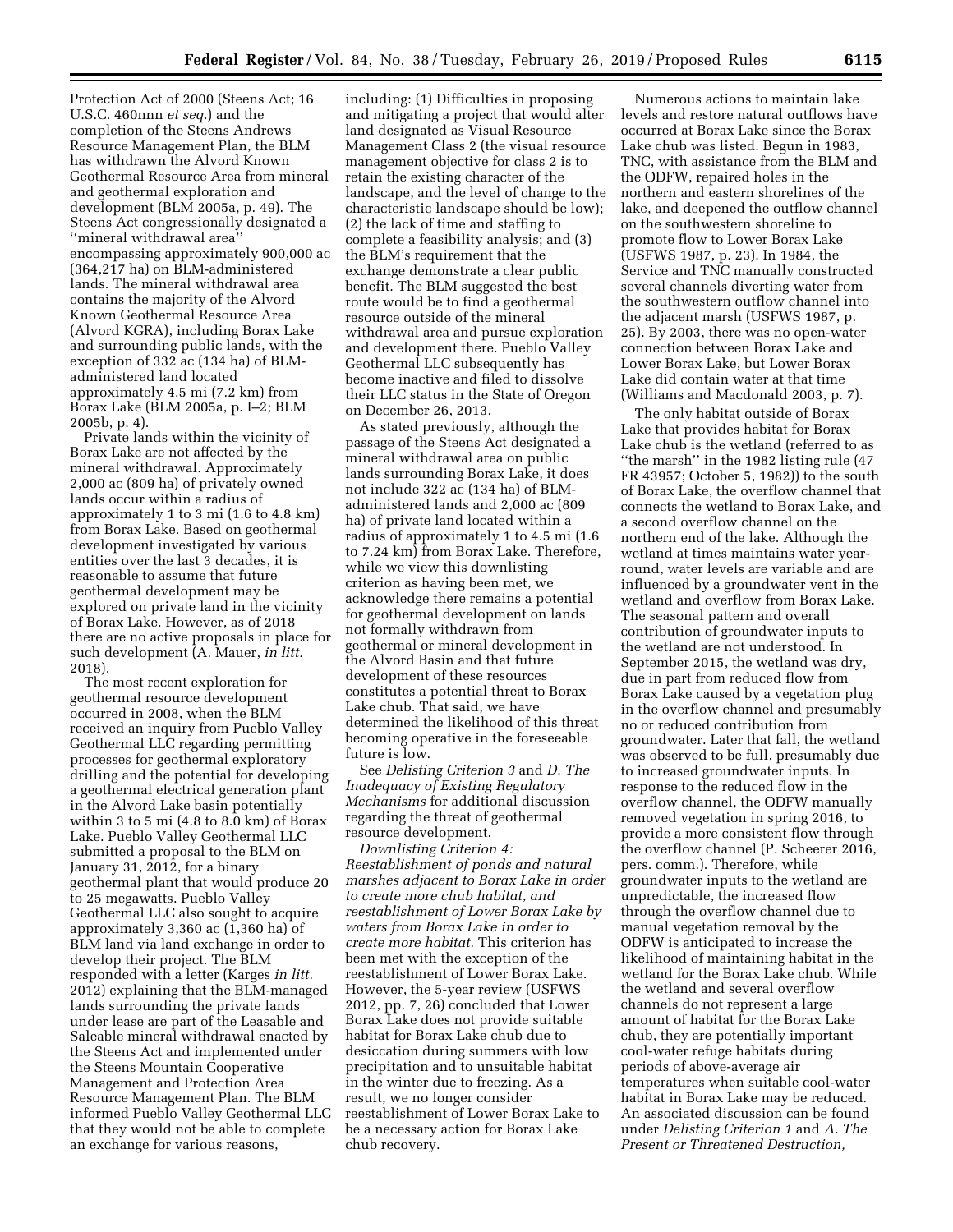Protection Act of 2000 (Steens Act; 16 U.S.C. 460nnn *et seq.*) and the completion of the Steens Andrews Resource Management Plan, the BLM has withdrawn the Alvord Known Geothermal Resource Area from mineral and geothermal exploration and development (BLM 2005a, p. 49). The Steens Act congressionally designated a ''mineral withdrawal area'' encompassing approximately 900,000 ac (364,217 ha) on BLM-administered lands. The mineral withdrawal area contains the majority of the Alvord Known Geothermal Resource Area (Alvord KGRA), including Borax Lake and surrounding public lands, with the exception of 332 ac (134 ha) of BLMadministered land located approximately 4.5 mi (7.2 km) from Borax Lake (BLM 2005a, p. I–2; BLM 2005b, p. 4).

Private lands within the vicinity of Borax Lake are not affected by the mineral withdrawal. Approximately 2,000 ac (809 ha) of privately owned lands occur within a radius of approximately 1 to 3 mi (1.6 to 4.8 km) from Borax Lake. Based on geothermal development investigated by various entities over the last 3 decades, it is reasonable to assume that future geothermal development may be explored on private land in the vicinity of Borax Lake. However, as of 2018 there are no active proposals in place for such development (A. Mauer, *in litt.*  2018).

The most recent exploration for geothermal resource development occurred in 2008, when the BLM received an inquiry from Pueblo Valley Geothermal LLC regarding permitting processes for geothermal exploratory drilling and the potential for developing a geothermal electrical generation plant in the Alvord Lake basin potentially within 3 to 5 mi (4.8 to 8.0 km) of Borax Lake. Pueblo Valley Geothermal LLC submitted a proposal to the BLM on January 31, 2012, for a binary geothermal plant that would produce 20 to 25 megawatts. Pueblo Valley Geothermal LLC also sought to acquire approximately 3,360 ac (1,360 ha) of BLM land via land exchange in order to develop their project. The BLM responded with a letter (Karges *in litt.*  2012) explaining that the BLM-managed lands surrounding the private lands under lease are part of the Leasable and Saleable mineral withdrawal enacted by the Steens Act and implemented under the Steens Mountain Cooperative Management and Protection Area Resource Management Plan. The BLM informed Pueblo Valley Geothermal LLC that they would not be able to complete an exchange for various reasons,

including: (1) Difficulties in proposing and mitigating a project that would alter land designated as Visual Resource Management Class 2 (the visual resource management objective for class 2 is to retain the existing character of the landscape, and the level of change to the characteristic landscape should be low); (2) the lack of time and staffing to complete a feasibility analysis; and (3) the BLM's requirement that the exchange demonstrate a clear public benefit. The BLM suggested the best route would be to find a geothermal resource outside of the mineral withdrawal area and pursue exploration and development there. Pueblo Valley Geothermal LLC subsequently has become inactive and filed to dissolve their LLC status in the State of Oregon on December 26, 2013.

As stated previously, although the passage of the Steens Act designated a mineral withdrawal area on public lands surrounding Borax Lake, it does not include 322 ac (134 ha) of BLMadministered lands and 2,000 ac (809 ha) of private land located within a radius of approximately 1 to 4.5 mi (1.6 to 7.24 km) from Borax Lake. Therefore, while we view this downlisting criterion as having been met, we acknowledge there remains a potential for geothermal development on lands not formally withdrawn from geothermal or mineral development in the Alvord Basin and that future development of these resources constitutes a potential threat to Borax Lake chub. That said, we have determined the likelihood of this threat becoming operative in the foreseeable future is low.

See *Delisting Criterion 3* and *D. The Inadequacy of Existing Regulatory Mechanisms* for additional discussion regarding the threat of geothermal resource development.

*Downlisting Criterion 4: Reestablishment of ponds and natural marshes adjacent to Borax Lake in order to create more chub habitat, and reestablishment of Lower Borax Lake by waters from Borax Lake in order to create more habitat.* This criterion has been met with the exception of the reestablishment of Lower Borax Lake. However, the 5-year review (USFWS 2012, pp. 7, 26) concluded that Lower Borax Lake does not provide suitable habitat for Borax Lake chub due to desiccation during summers with low precipitation and to unsuitable habitat in the winter due to freezing. As a result, we no longer consider reestablishment of Lower Borax Lake to be a necessary action for Borax Lake chub recovery.

Numerous actions to maintain lake levels and restore natural outflows have occurred at Borax Lake since the Borax Lake chub was listed. Begun in 1983, TNC, with assistance from the BLM and the ODFW, repaired holes in the northern and eastern shorelines of the lake, and deepened the outflow channel on the southwestern shoreline to promote flow to Lower Borax Lake (USFWS 1987, p. 23). In 1984, the Service and TNC manually constructed several channels diverting water from the southwestern outflow channel into the adjacent marsh (USFWS 1987, p. 25). By 2003, there was no open-water connection between Borax Lake and Lower Borax Lake, but Lower Borax Lake did contain water at that time (Williams and Macdonald 2003, p. 7).

The only habitat outside of Borax Lake that provides habitat for Borax Lake chub is the wetland (referred to as ''the marsh'' in the 1982 listing rule (47 FR 43957; October 5, 1982)) to the south of Borax Lake, the overflow channel that connects the wetland to Borax Lake, and a second overflow channel on the northern end of the lake. Although the wetland at times maintains water yearround, water levels are variable and are influenced by a groundwater vent in the wetland and overflow from Borax Lake. The seasonal pattern and overall contribution of groundwater inputs to the wetland are not understood. In September 2015, the wetland was dry, due in part from reduced flow from Borax Lake caused by a vegetation plug in the overflow channel and presumably no or reduced contribution from groundwater. Later that fall, the wetland was observed to be full, presumably due to increased groundwater inputs. In response to the reduced flow in the overflow channel, the ODFW manually removed vegetation in spring 2016, to provide a more consistent flow through the overflow channel (P. Scheerer 2016, pers. comm.). Therefore, while groundwater inputs to the wetland are unpredictable, the increased flow through the overflow channel due to manual vegetation removal by the ODFW is anticipated to increase the likelihood of maintaining habitat in the wetland for the Borax Lake chub. While the wetland and several overflow channels do not represent a large amount of habitat for the Borax Lake chub, they are potentially important cool-water refuge habitats during periods of above-average air temperatures when suitable cool-water habitat in Borax Lake may be reduced. An associated discussion can be found under *Delisting Criterion 1* and *A. The Present or Threatened Destruction,*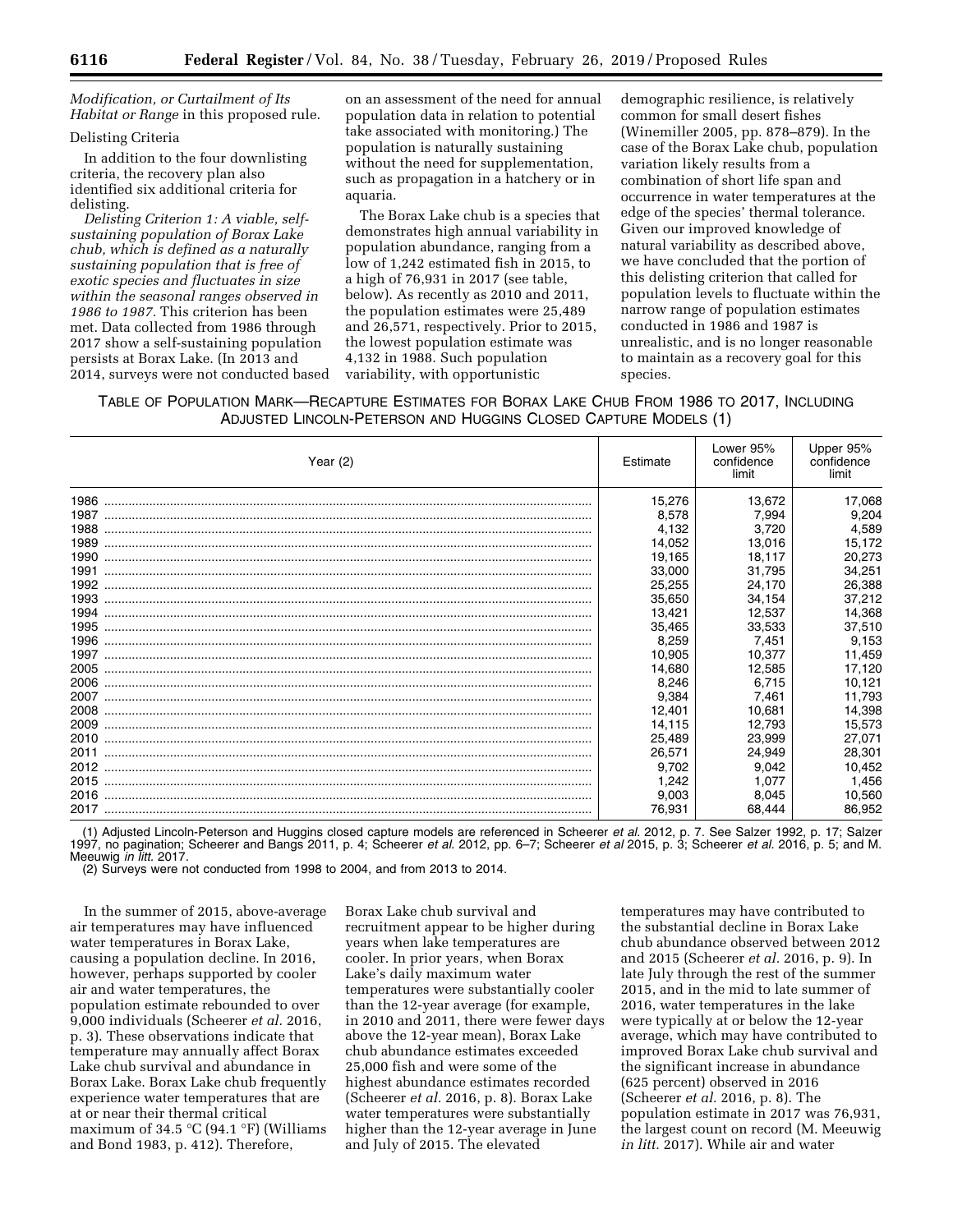# *Modification, or Curtailment of Its Habitat or Range* in this proposed rule.

# Delisting Criteria

In addition to the four downlisting criteria, the recovery plan also identified six additional criteria for delisting.

*Delisting Criterion 1: A viable, selfsustaining population of Borax Lake chub, which is defined as a naturally sustaining population that is free of exotic species and fluctuates in size within the seasonal ranges observed in 1986 to 1987.* This criterion has been met. Data collected from 1986 through 2017 show a self-sustaining population persists at Borax Lake. (In 2013 and 2014, surveys were not conducted based on an assessment of the need for annual population data in relation to potential take associated with monitoring.) The population is naturally sustaining without the need for supplementation, such as propagation in a hatchery or in aquaria.

The Borax Lake chub is a species that demonstrates high annual variability in population abundance, ranging from a low of 1,242 estimated fish in 2015, to a high of 76,931 in 2017 (see table, below). As recently as 2010 and 2011, the population estimates were 25,489 and 26,571, respectively. Prior to 2015, the lowest population estimate was 4,132 in 1988. Such population variability, with opportunistic

demographic resilience, is relatively common for small desert fishes (Winemiller 2005, pp. 878–879). In the case of the Borax Lake chub, population variation likely results from a combination of short life span and occurrence in water temperatures at the edge of the species' thermal tolerance. Given our improved knowledge of natural variability as described above, we have concluded that the portion of this delisting criterion that called for population levels to fluctuate within the narrow range of population estimates conducted in 1986 and 1987 is unrealistic, and is no longer reasonable to maintain as a recovery goal for this species.

TABLE OF POPULATION MARK—RECAPTURE ESTIMATES FOR BORAX LAKE CHUB FROM 1986 TO 2017, INCLUDING ADJUSTED LINCOLN-PETERSON AND HUGGINS CLOSED CAPTURE MODELS (1)

| Year $(2)$ | Estimate | Lower 95%<br>confidence<br>limit | Upper 95%<br>confidence<br>limit |
|------------|----------|----------------------------------|----------------------------------|
| 1986       | 15,276   | 13,672                           | 17,068                           |
|            | 8,578    | 7.994                            | 9,204                            |
|            | 4,132    | 3,720                            | 4,589                            |
|            | 14,052   | 13,016                           | 15,172                           |
|            | 19,165   | 18,117                           | 20,273                           |
|            | 33,000   | 31.795                           | 34,251                           |
|            | 25,255   | 24,170                           | 26,388                           |
|            | 35,650   | 34,154                           | 37,212                           |
|            | 13,421   | 12,537                           | 14,368                           |
| 1995       | 35,465   | 33,533                           | 37,510                           |
| 1996       | 8,259    | 7,451                            | 9,153                            |
| 1997       | 10,905   | 10.377                           | 11,459                           |
| 2005       | 14,680   | 12.585                           | 17,120                           |
| 2006       | 8,246    | 6.715                            | 10,121                           |
| 2007       | 9,384    | 7.461                            | 11.793                           |
| 2008       | 12,401   | 10,681                           | 14,398                           |
| 2009       | 14,115   | 12,793                           | 15,573                           |
| 2010       | 25,489   | 23.999                           | 27,071                           |
| 2011       | 26,571   | 24.949                           | 28,301                           |
| 2012       | 9,702    | 9,042                            | 10,452                           |
| 2015       | 1,242    | 1.077                            | 1,456                            |
| 2016       | 9,003    | 8,045                            | 10,560                           |
|            | 76,931   | 68,444                           | 86,952                           |

(1) Adjusted Lincoln-Peterson and Huggins closed capture models are referenced in Scheerer *et al.* 2012, p. 7. See Salzer 1992, p. 17; Salzer 1997, no pagination; Scheerer and Bangs 2011, p. 4; Scheerer *et al.* 2012, pp. 6–7; Scheerer *et al* 2015, p. 3; Scheerer *et al.* 2016, p. 5; and M. Meeuwig *in litt.* 2017.

(2) Surveys were not conducted from 1998 to 2004, and from 2013 to 2014.

In the summer of 2015, above-average air temperatures may have influenced water temperatures in Borax Lake, causing a population decline. In 2016, however, perhaps supported by cooler air and water temperatures, the population estimate rebounded to over 9,000 individuals (Scheerer *et al.* 2016, p. 3). These observations indicate that temperature may annually affect Borax Lake chub survival and abundance in Borax Lake. Borax Lake chub frequently experience water temperatures that are at or near their thermal critical maximum of 34.5  $°C$  (94.1 °F) (Williams and Bond 1983, p. 412). Therefore,

Borax Lake chub survival and recruitment appear to be higher during years when lake temperatures are cooler. In prior years, when Borax Lake's daily maximum water temperatures were substantially cooler than the 12-year average (for example, in 2010 and 2011, there were fewer days above the 12-year mean), Borax Lake chub abundance estimates exceeded 25,000 fish and were some of the highest abundance estimates recorded (Scheerer *et al.* 2016, p. 8). Borax Lake water temperatures were substantially higher than the 12-year average in June and July of 2015. The elevated

temperatures may have contributed to the substantial decline in Borax Lake chub abundance observed between 2012 and 2015 (Scheerer *et al.* 2016, p. 9). In late July through the rest of the summer 2015, and in the mid to late summer of 2016, water temperatures in the lake were typically at or below the 12-year average, which may have contributed to improved Borax Lake chub survival and the significant increase in abundance (625 percent) observed in 2016 (Scheerer *et al.* 2016, p. 8). The population estimate in 2017 was 76,931, the largest count on record (M. Meeuwig *in litt.* 2017). While air and water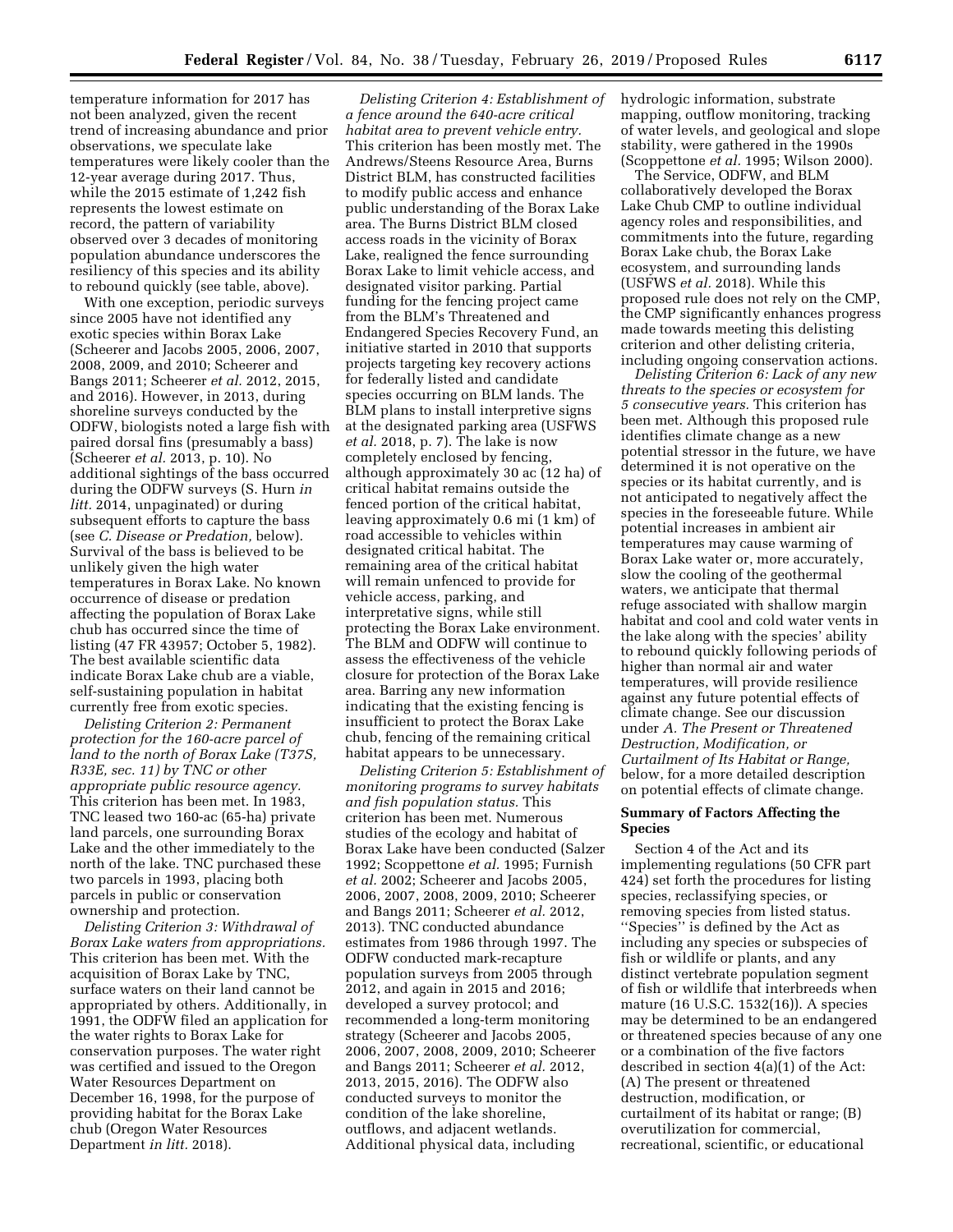temperature information for 2017 has not been analyzed, given the recent trend of increasing abundance and prior observations, we speculate lake temperatures were likely cooler than the 12-year average during 2017. Thus, while the 2015 estimate of 1,242 fish represents the lowest estimate on record, the pattern of variability observed over 3 decades of monitoring population abundance underscores the resiliency of this species and its ability to rebound quickly (see table, above).

With one exception, periodic surveys since 2005 have not identified any exotic species within Borax Lake (Scheerer and Jacobs 2005, 2006, 2007, 2008, 2009, and 2010; Scheerer and Bangs 2011; Scheerer *et al.* 2012, 2015, and 2016). However, in 2013, during shoreline surveys conducted by the ODFW, biologists noted a large fish with paired dorsal fins (presumably a bass) (Scheerer *et al.* 2013, p. 10). No additional sightings of the bass occurred during the ODFW surveys (S. Hurn *in litt.* 2014, unpaginated) or during subsequent efforts to capture the bass (see *C. Disease or Predation,* below). Survival of the bass is believed to be unlikely given the high water temperatures in Borax Lake. No known occurrence of disease or predation affecting the population of Borax Lake chub has occurred since the time of listing (47 FR 43957; October 5, 1982). The best available scientific data indicate Borax Lake chub are a viable, self-sustaining population in habitat currently free from exotic species.

*Delisting Criterion 2: Permanent protection for the 160-acre parcel of land to the north of Borax Lake (T37S, R33E, sec. 11) by TNC or other appropriate public resource agency.*  This criterion has been met. In 1983, TNC leased two 160-ac (65-ha) private land parcels, one surrounding Borax Lake and the other immediately to the north of the lake. TNC purchased these two parcels in 1993, placing both parcels in public or conservation ownership and protection.

*Delisting Criterion 3: Withdrawal of Borax Lake waters from appropriations.*  This criterion has been met. With the acquisition of Borax Lake by TNC, surface waters on their land cannot be appropriated by others. Additionally, in 1991, the ODFW filed an application for the water rights to Borax Lake for conservation purposes. The water right was certified and issued to the Oregon Water Resources Department on December 16, 1998, for the purpose of providing habitat for the Borax Lake chub (Oregon Water Resources Department *in litt.* 2018).

*Delisting Criterion 4: Establishment of a fence around the 640-acre critical habitat area to prevent vehicle entry.*  This criterion has been mostly met. The Andrews/Steens Resource Area, Burns District BLM, has constructed facilities to modify public access and enhance public understanding of the Borax Lake area. The Burns District BLM closed access roads in the vicinity of Borax Lake, realigned the fence surrounding Borax Lake to limit vehicle access, and designated visitor parking. Partial funding for the fencing project came from the BLM's Threatened and Endangered Species Recovery Fund, an initiative started in 2010 that supports projects targeting key recovery actions for federally listed and candidate species occurring on BLM lands. The BLM plans to install interpretive signs at the designated parking area (USFWS *et al.* 2018, p. 7). The lake is now completely enclosed by fencing, although approximately 30 ac (12 ha) of critical habitat remains outside the fenced portion of the critical habitat, leaving approximately 0.6 mi (1 km) of road accessible to vehicles within designated critical habitat. The remaining area of the critical habitat will remain unfenced to provide for vehicle access, parking, and interpretative signs, while still protecting the Borax Lake environment. The BLM and ODFW will continue to assess the effectiveness of the vehicle closure for protection of the Borax Lake area. Barring any new information indicating that the existing fencing is insufficient to protect the Borax Lake chub, fencing of the remaining critical habitat appears to be unnecessary.

*Delisting Criterion 5: Establishment of monitoring programs to survey habitats and fish population status.* This criterion has been met. Numerous studies of the ecology and habitat of Borax Lake have been conducted (Salzer 1992; Scoppettone *et al.* 1995; Furnish *et al.* 2002; Scheerer and Jacobs 2005, 2006, 2007, 2008, 2009, 2010; Scheerer and Bangs 2011; Scheerer *et al.* 2012, 2013). TNC conducted abundance estimates from 1986 through 1997. The ODFW conducted mark-recapture population surveys from 2005 through 2012, and again in 2015 and 2016; developed a survey protocol; and recommended a long-term monitoring strategy (Scheerer and Jacobs 2005, 2006, 2007, 2008, 2009, 2010; Scheerer and Bangs 2011; Scheerer *et al.* 2012, 2013, 2015, 2016). The ODFW also conducted surveys to monitor the condition of the lake shoreline, outflows, and adjacent wetlands. Additional physical data, including

hydrologic information, substrate mapping, outflow monitoring, tracking of water levels, and geological and slope stability, were gathered in the 1990s (Scoppettone *et al.* 1995; Wilson 2000).

The Service, ODFW, and BLM collaboratively developed the Borax Lake Chub CMP to outline individual agency roles and responsibilities, and commitments into the future, regarding Borax Lake chub, the Borax Lake ecosystem, and surrounding lands (USFWS *et al.* 2018). While this proposed rule does not rely on the CMP, the CMP significantly enhances progress made towards meeting this delisting criterion and other delisting criteria, including ongoing conservation actions.

*Delisting Criterion 6: Lack of any new threats to the species or ecosystem for 5 consecutive years.* This criterion has been met. Although this proposed rule identifies climate change as a new potential stressor in the future, we have determined it is not operative on the species or its habitat currently, and is not anticipated to negatively affect the species in the foreseeable future. While potential increases in ambient air temperatures may cause warming of Borax Lake water or, more accurately, slow the cooling of the geothermal waters, we anticipate that thermal refuge associated with shallow margin habitat and cool and cold water vents in the lake along with the species' ability to rebound quickly following periods of higher than normal air and water temperatures, will provide resilience against any future potential effects of climate change. See our discussion under *A. The Present or Threatened Destruction, Modification, or Curtailment of Its Habitat or Range,*  below, for a more detailed description on potential effects of climate change.

# **Summary of Factors Affecting the Species**

Section 4 of the Act and its implementing regulations (50 CFR part 424) set forth the procedures for listing species, reclassifying species, or removing species from listed status. ''Species'' is defined by the Act as including any species or subspecies of fish or wildlife or plants, and any distinct vertebrate population segment of fish or wildlife that interbreeds when mature (16 U.S.C. 1532(16)). A species may be determined to be an endangered or threatened species because of any one or a combination of the five factors described in section 4(a)(1) of the Act: (A) The present or threatened destruction, modification, or curtailment of its habitat or range; (B) overutilization for commercial, recreational, scientific, or educational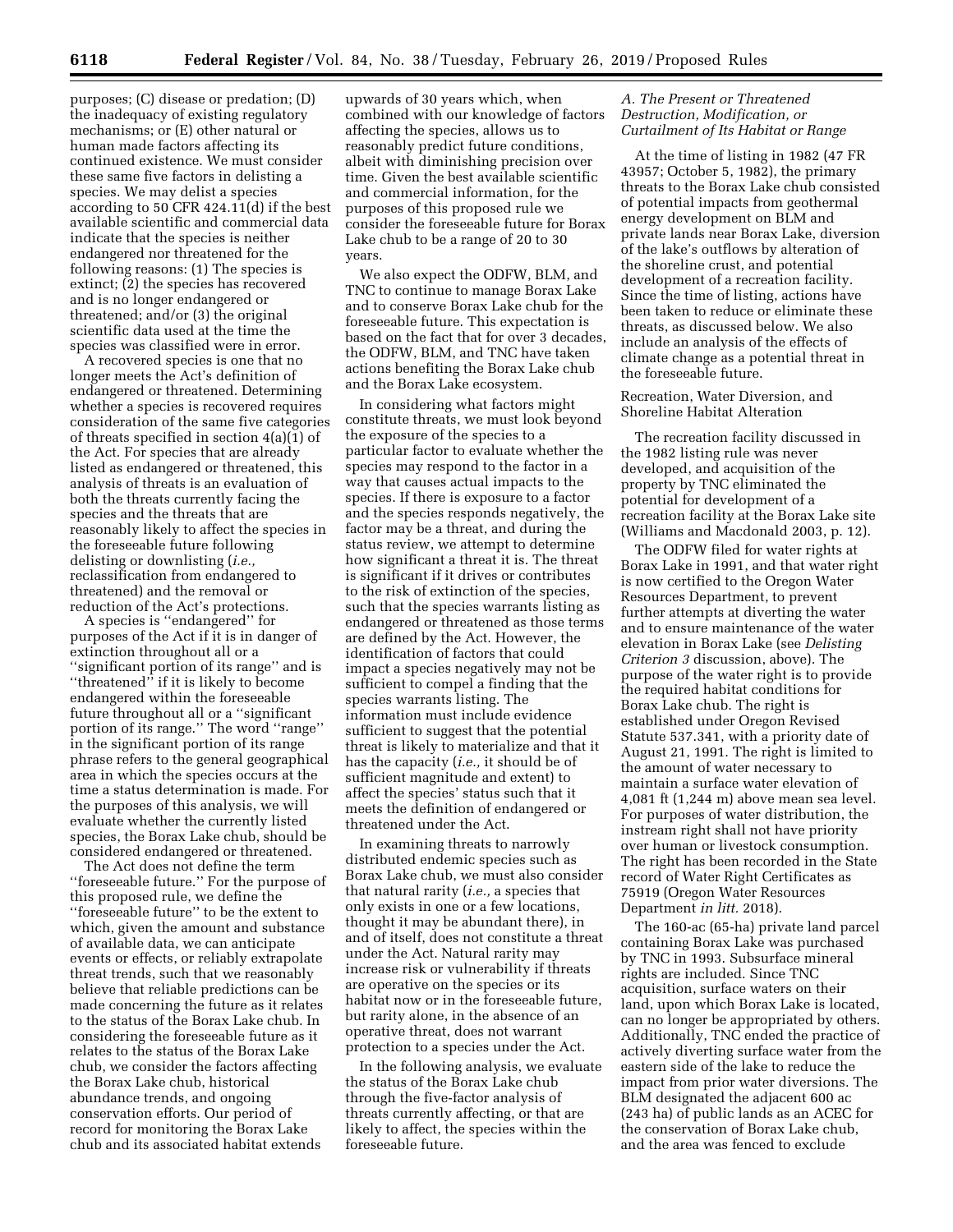purposes; (C) disease or predation; (D) the inadequacy of existing regulatory mechanisms; or (E) other natural or human made factors affecting its continued existence. We must consider these same five factors in delisting a species. We may delist a species according to 50 CFR 424.11(d) if the best available scientific and commercial data indicate that the species is neither endangered nor threatened for the following reasons: (1) The species is extinct; (2) the species has recovered and is no longer endangered or threatened; and/or (3) the original scientific data used at the time the species was classified were in error.

A recovered species is one that no longer meets the Act's definition of endangered or threatened. Determining whether a species is recovered requires consideration of the same five categories of threats specified in section 4(a)(1) of the Act. For species that are already listed as endangered or threatened, this analysis of threats is an evaluation of both the threats currently facing the species and the threats that are reasonably likely to affect the species in the foreseeable future following delisting or downlisting (*i.e.,*  reclassification from endangered to threatened) and the removal or reduction of the Act's protections.

A species is ''endangered'' for purposes of the Act if it is in danger of extinction throughout all or a ''significant portion of its range'' and is "threatened" if it is likely to become endangered within the foreseeable future throughout all or a ''significant portion of its range.'' The word ''range'' in the significant portion of its range phrase refers to the general geographical area in which the species occurs at the time a status determination is made. For the purposes of this analysis, we will evaluate whether the currently listed species, the Borax Lake chub, should be considered endangered or threatened.

The Act does not define the term ''foreseeable future.'' For the purpose of this proposed rule, we define the ''foreseeable future'' to be the extent to which, given the amount and substance of available data, we can anticipate events or effects, or reliably extrapolate threat trends, such that we reasonably believe that reliable predictions can be made concerning the future as it relates to the status of the Borax Lake chub. In considering the foreseeable future as it relates to the status of the Borax Lake chub, we consider the factors affecting the Borax Lake chub, historical abundance trends, and ongoing conservation efforts. Our period of record for monitoring the Borax Lake chub and its associated habitat extends

upwards of 30 years which, when combined with our knowledge of factors affecting the species, allows us to reasonably predict future conditions, albeit with diminishing precision over time. Given the best available scientific and commercial information, for the purposes of this proposed rule we consider the foreseeable future for Borax Lake chub to be a range of 20 to 30 years.

We also expect the ODFW, BLM, and TNC to continue to manage Borax Lake and to conserve Borax Lake chub for the foreseeable future. This expectation is based on the fact that for over 3 decades, the ODFW, BLM, and TNC have taken actions benefiting the Borax Lake chub and the Borax Lake ecosystem.

In considering what factors might constitute threats, we must look beyond the exposure of the species to a particular factor to evaluate whether the species may respond to the factor in a way that causes actual impacts to the species. If there is exposure to a factor and the species responds negatively, the factor may be a threat, and during the status review, we attempt to determine how significant a threat it is. The threat is significant if it drives or contributes to the risk of extinction of the species, such that the species warrants listing as endangered or threatened as those terms are defined by the Act. However, the identification of factors that could impact a species negatively may not be sufficient to compel a finding that the species warrants listing. The information must include evidence sufficient to suggest that the potential threat is likely to materialize and that it has the capacity (*i.e.,* it should be of sufficient magnitude and extent) to affect the species' status such that it meets the definition of endangered or threatened under the Act.

In examining threats to narrowly distributed endemic species such as Borax Lake chub, we must also consider that natural rarity (*i.e.,* a species that only exists in one or a few locations, thought it may be abundant there), in and of itself, does not constitute a threat under the Act. Natural rarity may increase risk or vulnerability if threats are operative on the species or its habitat now or in the foreseeable future, but rarity alone, in the absence of an operative threat, does not warrant protection to a species under the Act.

In the following analysis, we evaluate the status of the Borax Lake chub through the five-factor analysis of threats currently affecting, or that are likely to affect, the species within the foreseeable future.

# *A. The Present or Threatened Destruction, Modification, or Curtailment of Its Habitat or Range*

At the time of listing in 1982 (47 FR 43957; October 5, 1982), the primary threats to the Borax Lake chub consisted of potential impacts from geothermal energy development on BLM and private lands near Borax Lake, diversion of the lake's outflows by alteration of the shoreline crust, and potential development of a recreation facility. Since the time of listing, actions have been taken to reduce or eliminate these threats, as discussed below. We also include an analysis of the effects of climate change as a potential threat in the foreseeable future.

# Recreation, Water Diversion, and Shoreline Habitat Alteration

The recreation facility discussed in the 1982 listing rule was never developed, and acquisition of the property by TNC eliminated the potential for development of a recreation facility at the Borax Lake site (Williams and Macdonald 2003, p. 12).

The ODFW filed for water rights at Borax Lake in 1991, and that water right is now certified to the Oregon Water Resources Department, to prevent further attempts at diverting the water and to ensure maintenance of the water elevation in Borax Lake (see *Delisting Criterion 3* discussion, above). The purpose of the water right is to provide the required habitat conditions for Borax Lake chub. The right is established under Oregon Revised Statute 537.341, with a priority date of August 21, 1991. The right is limited to the amount of water necessary to maintain a surface water elevation of 4,081 ft (1,244 m) above mean sea level. For purposes of water distribution, the instream right shall not have priority over human or livestock consumption. The right has been recorded in the State record of Water Right Certificates as 75919 (Oregon Water Resources Department *in litt.* 2018).

The 160-ac (65-ha) private land parcel containing Borax Lake was purchased by TNC in 1993. Subsurface mineral rights are included. Since TNC acquisition, surface waters on their land, upon which Borax Lake is located, can no longer be appropriated by others. Additionally, TNC ended the practice of actively diverting surface water from the eastern side of the lake to reduce the impact from prior water diversions. The BLM designated the adjacent 600 ac (243 ha) of public lands as an ACEC for the conservation of Borax Lake chub, and the area was fenced to exclude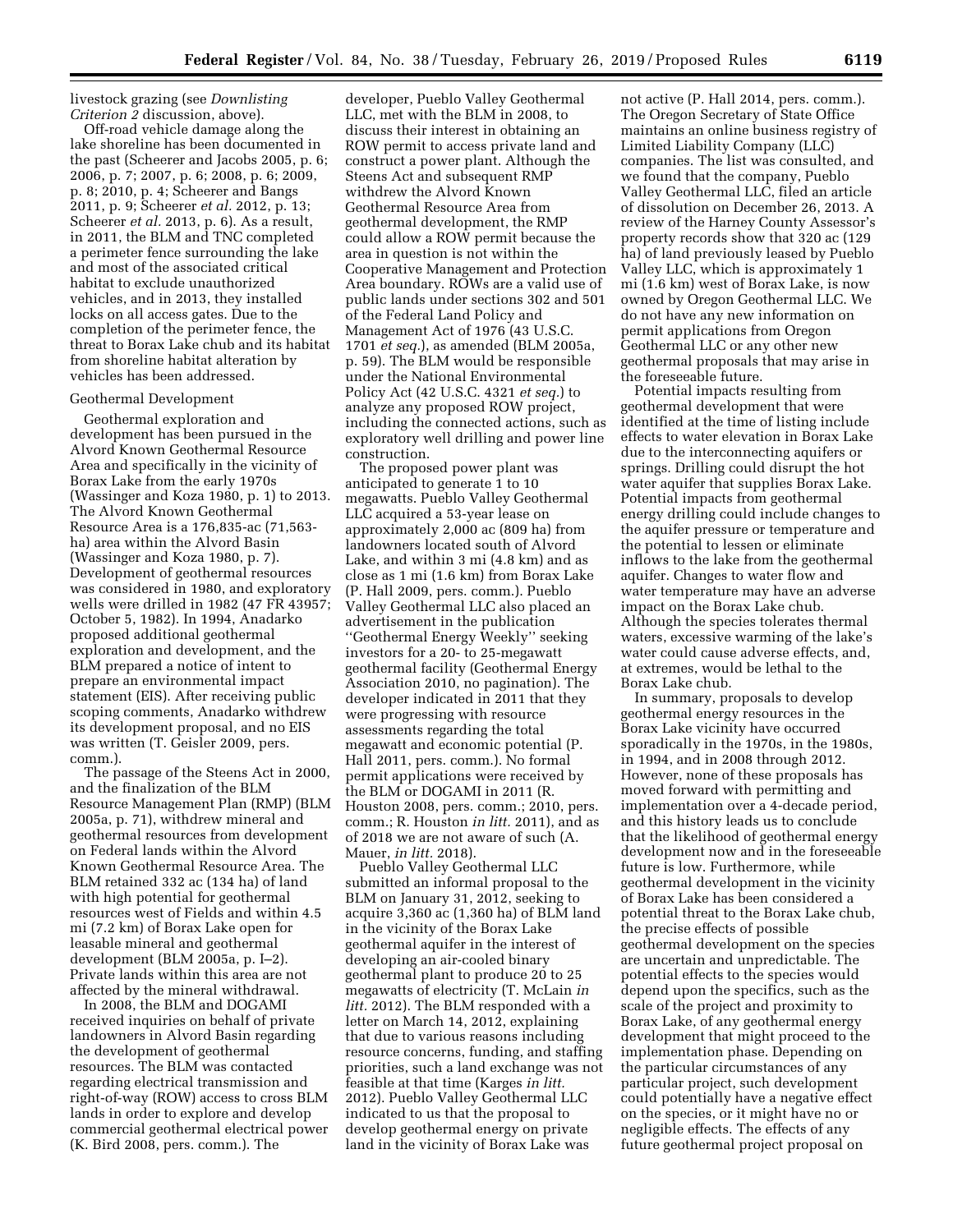livestock grazing (see *Downlisting Criterion 2* discussion, above).

Off-road vehicle damage along the lake shoreline has been documented in the past (Scheerer and Jacobs 2005, p. 6; 2006, p. 7; 2007, p. 6; 2008, p. 6; 2009, p. 8; 2010, p. 4; Scheerer and Bangs 2011, p. 9; Scheerer *et al.* 2012, p. 13; Scheerer *et al.* 2013, p. 6). As a result, in 2011, the BLM and TNC completed a perimeter fence surrounding the lake and most of the associated critical habitat to exclude unauthorized vehicles, and in 2013, they installed locks on all access gates. Due to the completion of the perimeter fence, the threat to Borax Lake chub and its habitat from shoreline habitat alteration by vehicles has been addressed.

### Geothermal Development

Geothermal exploration and development has been pursued in the Alvord Known Geothermal Resource Area and specifically in the vicinity of Borax Lake from the early 1970s (Wassinger and Koza 1980, p. 1) to 2013. The Alvord Known Geothermal Resource Area is a 176,835-ac (71,563 ha) area within the Alvord Basin (Wassinger and Koza 1980, p. 7). Development of geothermal resources was considered in 1980, and exploratory wells were drilled in 1982 (47 FR 43957; October 5, 1982). In 1994, Anadarko proposed additional geothermal exploration and development, and the BLM prepared a notice of intent to prepare an environmental impact statement (EIS). After receiving public scoping comments, Anadarko withdrew its development proposal, and no EIS was written (T. Geisler 2009, pers. comm.).

The passage of the Steens Act in 2000, and the finalization of the BLM Resource Management Plan (RMP) (BLM 2005a, p. 71), withdrew mineral and geothermal resources from development on Federal lands within the Alvord Known Geothermal Resource Area. The BLM retained 332 ac (134 ha) of land with high potential for geothermal resources west of Fields and within 4.5 mi (7.2 km) of Borax Lake open for leasable mineral and geothermal development (BLM 2005a, p. I–2). Private lands within this area are not affected by the mineral withdrawal.

In 2008, the BLM and DOGAMI received inquiries on behalf of private landowners in Alvord Basin regarding the development of geothermal resources. The BLM was contacted regarding electrical transmission and right-of-way (ROW) access to cross BLM lands in order to explore and develop commercial geothermal electrical power (K. Bird 2008, pers. comm.). The

developer, Pueblo Valley Geothermal LLC, met with the BLM in 2008, to discuss their interest in obtaining an ROW permit to access private land and construct a power plant. Although the Steens Act and subsequent RMP withdrew the Alvord Known Geothermal Resource Area from geothermal development, the RMP could allow a ROW permit because the area in question is not within the Cooperative Management and Protection Area boundary. ROWs are a valid use of public lands under sections 302 and 501 of the Federal Land Policy and Management Act of 1976 (43 U.S.C. 1701 *et seq.*), as amended (BLM 2005a, p. 59). The BLM would be responsible under the National Environmental Policy Act (42 U.S.C. 4321 *et seq.*) to analyze any proposed ROW project, including the connected actions, such as exploratory well drilling and power line construction.

The proposed power plant was anticipated to generate 1 to 10 megawatts. Pueblo Valley Geothermal LLC acquired a 53-year lease on approximately 2,000 ac (809 ha) from landowners located south of Alvord Lake, and within 3 mi (4.8 km) and as close as 1 mi (1.6 km) from Borax Lake (P. Hall 2009, pers. comm.). Pueblo Valley Geothermal LLC also placed an advertisement in the publication ''Geothermal Energy Weekly'' seeking investors for a 20- to 25-megawatt geothermal facility (Geothermal Energy Association 2010, no pagination). The developer indicated in 2011 that they were progressing with resource assessments regarding the total megawatt and economic potential (P. Hall 2011, pers. comm.). No formal permit applications were received by the BLM or DOGAMI in 2011 (R. Houston 2008, pers. comm.; 2010, pers. comm.; R. Houston *in litt.* 2011), and as of 2018 we are not aware of such (A. Mauer, *in litt.* 2018).

Pueblo Valley Geothermal LLC submitted an informal proposal to the BLM on January 31, 2012, seeking to acquire 3,360 ac (1,360 ha) of BLM land in the vicinity of the Borax Lake geothermal aquifer in the interest of developing an air-cooled binary geothermal plant to produce 20 to 25 megawatts of electricity (T. McLain *in litt.* 2012). The BLM responded with a letter on March 14, 2012, explaining that due to various reasons including resource concerns, funding, and staffing priorities, such a land exchange was not feasible at that time (Karges *in litt.*  2012). Pueblo Valley Geothermal LLC indicated to us that the proposal to develop geothermal energy on private land in the vicinity of Borax Lake was

not active (P. Hall 2014, pers. comm.). The Oregon Secretary of State Office maintains an online business registry of Limited Liability Company (LLC) companies. The list was consulted, and we found that the company, Pueblo Valley Geothermal LLC, filed an article of dissolution on December 26, 2013. A review of the Harney County Assessor's property records show that 320 ac (129 ha) of land previously leased by Pueblo Valley LLC, which is approximately 1 mi (1.6 km) west of Borax Lake, is now owned by Oregon Geothermal LLC. We do not have any new information on permit applications from Oregon Geothermal LLC or any other new geothermal proposals that may arise in the foreseeable future.

Potential impacts resulting from geothermal development that were identified at the time of listing include effects to water elevation in Borax Lake due to the interconnecting aquifers or springs. Drilling could disrupt the hot water aquifer that supplies Borax Lake. Potential impacts from geothermal energy drilling could include changes to the aquifer pressure or temperature and the potential to lessen or eliminate inflows to the lake from the geothermal aquifer. Changes to water flow and water temperature may have an adverse impact on the Borax Lake chub. Although the species tolerates thermal waters, excessive warming of the lake's water could cause adverse effects, and, at extremes, would be lethal to the Borax Lake chub.

In summary, proposals to develop geothermal energy resources in the Borax Lake vicinity have occurred sporadically in the 1970s, in the 1980s, in 1994, and in 2008 through 2012. However, none of these proposals has moved forward with permitting and implementation over a 4-decade period, and this history leads us to conclude that the likelihood of geothermal energy development now and in the foreseeable future is low. Furthermore, while geothermal development in the vicinity of Borax Lake has been considered a potential threat to the Borax Lake chub, the precise effects of possible geothermal development on the species are uncertain and unpredictable. The potential effects to the species would depend upon the specifics, such as the scale of the project and proximity to Borax Lake, of any geothermal energy development that might proceed to the implementation phase. Depending on the particular circumstances of any particular project, such development could potentially have a negative effect on the species, or it might have no or negligible effects. The effects of any future geothermal project proposal on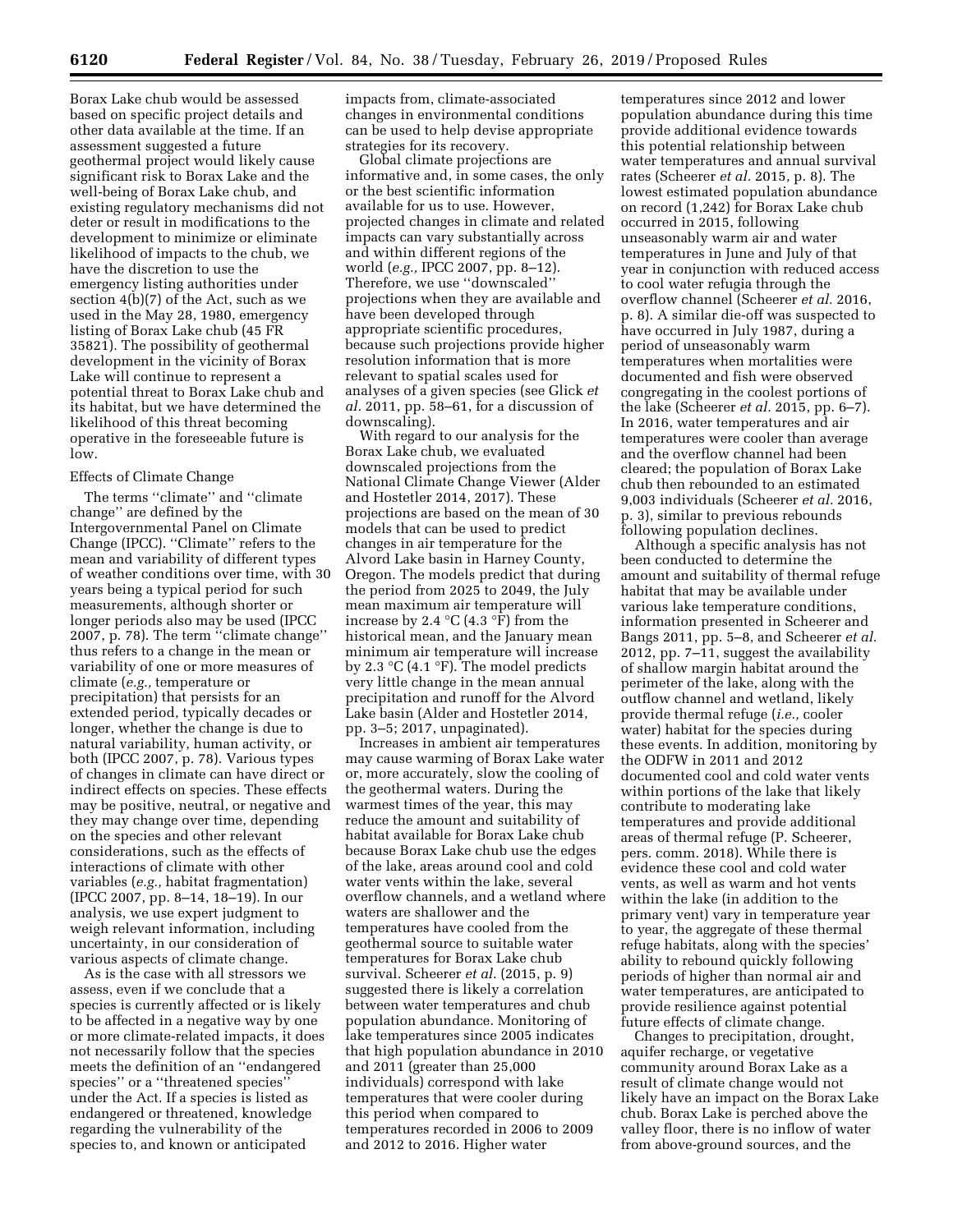Borax Lake chub would be assessed based on specific project details and other data available at the time. If an assessment suggested a future geothermal project would likely cause significant risk to Borax Lake and the well-being of Borax Lake chub, and existing regulatory mechanisms did not deter or result in modifications to the development to minimize or eliminate likelihood of impacts to the chub, we have the discretion to use the emergency listing authorities under section 4(b)(7) of the Act, such as we used in the May 28, 1980, emergency listing of Borax Lake chub (45 FR 35821). The possibility of geothermal development in the vicinity of Borax Lake will continue to represent a potential threat to Borax Lake chub and its habitat, but we have determined the likelihood of this threat becoming operative in the foreseeable future is low.

# Effects of Climate Change

The terms ''climate'' and ''climate change'' are defined by the Intergovernmental Panel on Climate Change (IPCC). ''Climate'' refers to the mean and variability of different types of weather conditions over time, with 30 years being a typical period for such measurements, although shorter or longer periods also may be used (IPCC 2007, p. 78). The term ''climate change'' thus refers to a change in the mean or variability of one or more measures of climate (*e.g.,* temperature or precipitation) that persists for an extended period, typically decades or longer, whether the change is due to natural variability, human activity, or both (IPCC 2007, p. 78). Various types of changes in climate can have direct or indirect effects on species. These effects may be positive, neutral, or negative and they may change over time, depending on the species and other relevant considerations, such as the effects of interactions of climate with other variables (*e.g.,* habitat fragmentation) (IPCC 2007, pp. 8–14, 18–19). In our analysis, we use expert judgment to weigh relevant information, including uncertainty, in our consideration of various aspects of climate change.

As is the case with all stressors we assess, even if we conclude that a species is currently affected or is likely to be affected in a negative way by one or more climate-related impacts, it does not necessarily follow that the species meets the definition of an ''endangered species'' or a ''threatened species'' under the Act. If a species is listed as endangered or threatened, knowledge regarding the vulnerability of the species to, and known or anticipated

impacts from, climate-associated changes in environmental conditions can be used to help devise appropriate strategies for its recovery.

Global climate projections are informative and, in some cases, the only or the best scientific information available for us to use. However, projected changes in climate and related impacts can vary substantially across and within different regions of the world (*e.g.,* IPCC 2007, pp. 8–12). Therefore, we use ''downscaled'' projections when they are available and have been developed through appropriate scientific procedures, because such projections provide higher resolution information that is more relevant to spatial scales used for analyses of a given species (see Glick *et al.* 2011, pp. 58–61, for a discussion of downscaling).

With regard to our analysis for the Borax Lake chub, we evaluated downscaled projections from the National Climate Change Viewer (Alder and Hostetler 2014, 2017). These projections are based on the mean of 30 models that can be used to predict changes in air temperature for the Alvord Lake basin in Harney County, Oregon. The models predict that during the period from 2025 to 2049, the July mean maximum air temperature will increase by 2.4  $\mathrm{C}(4.3 \mathrm{~}^{\circ}\mathrm{F})$  from the historical mean, and the January mean minimum air temperature will increase by 2.3  $\mathrm{C}(4.1 \mathrm{P})$ . The model predicts very little change in the mean annual precipitation and runoff for the Alvord Lake basin (Alder and Hostetler 2014, pp. 3–5; 2017, unpaginated).

Increases in ambient air temperatures may cause warming of Borax Lake water or, more accurately, slow the cooling of the geothermal waters. During the warmest times of the year, this may reduce the amount and suitability of habitat available for Borax Lake chub because Borax Lake chub use the edges of the lake, areas around cool and cold water vents within the lake, several overflow channels, and a wetland where waters are shallower and the temperatures have cooled from the geothermal source to suitable water temperatures for Borax Lake chub survival. Scheerer *et al.* (2015, p. 9) suggested there is likely a correlation between water temperatures and chub population abundance. Monitoring of lake temperatures since 2005 indicates that high population abundance in 2010 and 2011 (greater than 25,000 individuals) correspond with lake temperatures that were cooler during this period when compared to temperatures recorded in 2006 to 2009 and 2012 to 2016. Higher water

temperatures since 2012 and lower population abundance during this time provide additional evidence towards this potential relationship between water temperatures and annual survival rates (Scheerer *et al.* 2015, p. 8). The lowest estimated population abundance on record (1,242) for Borax Lake chub occurred in 2015, following unseasonably warm air and water temperatures in June and July of that year in conjunction with reduced access to cool water refugia through the overflow channel (Scheerer *et al.* 2016, p. 8). A similar die-off was suspected to have occurred in July 1987, during a period of unseasonably warm temperatures when mortalities were documented and fish were observed congregating in the coolest portions of the lake (Scheerer *et al.* 2015, pp. 6–7). In 2016, water temperatures and air temperatures were cooler than average and the overflow channel had been cleared; the population of Borax Lake chub then rebounded to an estimated 9,003 individuals (Scheerer *et al.* 2016, p. 3), similar to previous rebounds following population declines.

Although a specific analysis has not been conducted to determine the amount and suitability of thermal refuge habitat that may be available under various lake temperature conditions, information presented in Scheerer and Bangs 2011, pp. 5–8, and Scheerer *et al.*  2012, pp. 7–11, suggest the availability of shallow margin habitat around the perimeter of the lake, along with the outflow channel and wetland, likely provide thermal refuge (*i.e.,* cooler water) habitat for the species during these events. In addition, monitoring by the ODFW in 2011 and 2012 documented cool and cold water vents within portions of the lake that likely contribute to moderating lake temperatures and provide additional areas of thermal refuge (P. Scheerer, pers. comm. 2018). While there is evidence these cool and cold water vents, as well as warm and hot vents within the lake (in addition to the primary vent) vary in temperature year to year, the aggregate of these thermal refuge habitats, along with the species' ability to rebound quickly following periods of higher than normal air and water temperatures, are anticipated to provide resilience against potential future effects of climate change.

Changes to precipitation, drought, aquifer recharge, or vegetative community around Borax Lake as a result of climate change would not likely have an impact on the Borax Lake chub. Borax Lake is perched above the valley floor, there is no inflow of water from above-ground sources, and the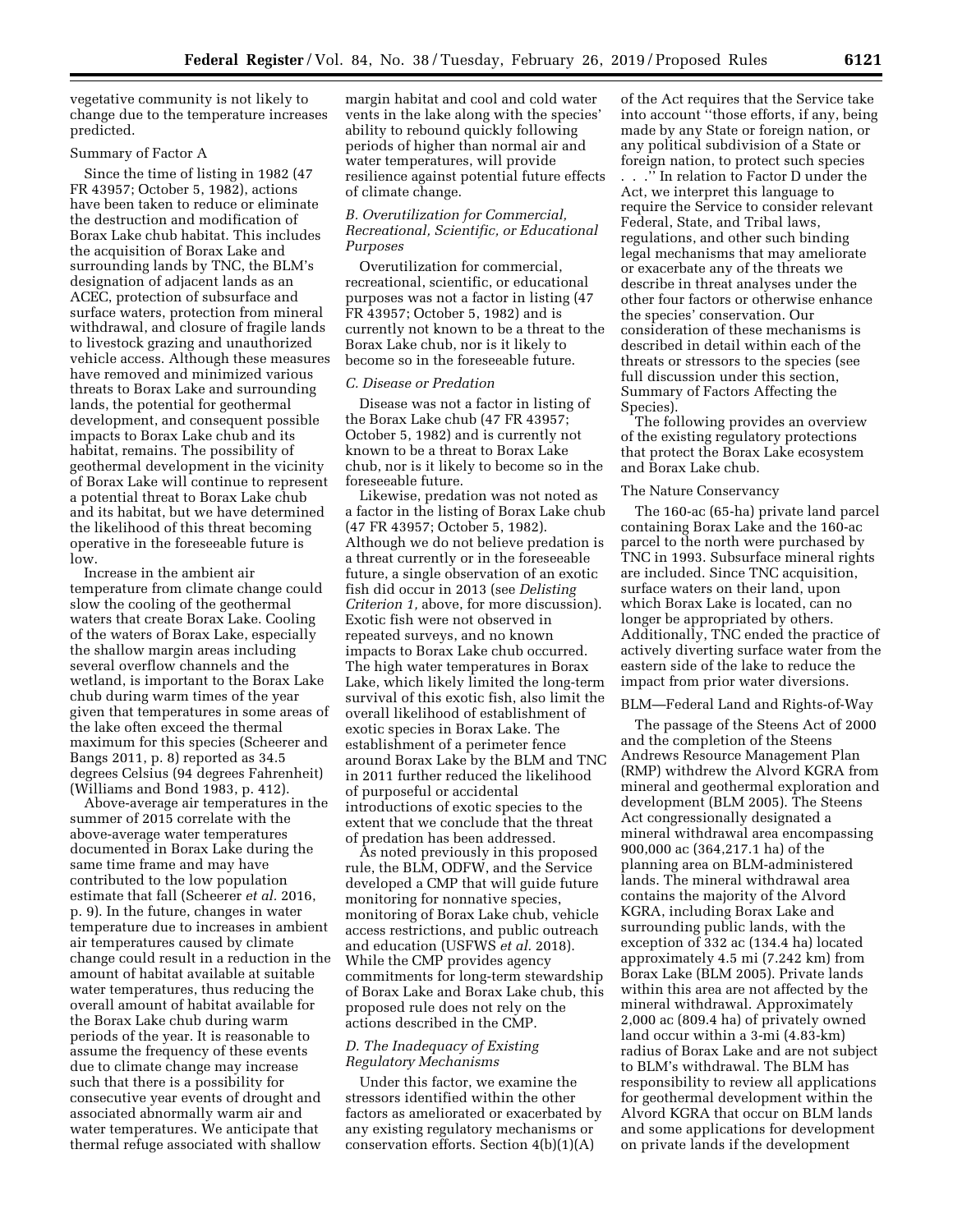vegetative community is not likely to change due to the temperature increases predicted.

### Summary of Factor A

Since the time of listing in 1982 (47 FR 43957; October 5, 1982), actions have been taken to reduce or eliminate the destruction and modification of Borax Lake chub habitat. This includes the acquisition of Borax Lake and surrounding lands by TNC, the BLM's designation of adjacent lands as an ACEC, protection of subsurface and surface waters, protection from mineral withdrawal, and closure of fragile lands to livestock grazing and unauthorized vehicle access. Although these measures have removed and minimized various threats to Borax Lake and surrounding lands, the potential for geothermal development, and consequent possible impacts to Borax Lake chub and its habitat, remains. The possibility of geothermal development in the vicinity of Borax Lake will continue to represent a potential threat to Borax Lake chub and its habitat, but we have determined the likelihood of this threat becoming operative in the foreseeable future is low.

Increase in the ambient air temperature from climate change could slow the cooling of the geothermal waters that create Borax Lake. Cooling of the waters of Borax Lake, especially the shallow margin areas including several overflow channels and the wetland, is important to the Borax Lake chub during warm times of the year given that temperatures in some areas of the lake often exceed the thermal maximum for this species (Scheerer and Bangs 2011, p. 8) reported as 34.5 degrees Celsius (94 degrees Fahrenheit) (Williams and Bond 1983, p. 412).

Above-average air temperatures in the summer of 2015 correlate with the above-average water temperatures documented in Borax Lake during the same time frame and may have contributed to the low population estimate that fall (Scheerer *et al.* 2016, p. 9). In the future, changes in water temperature due to increases in ambient air temperatures caused by climate change could result in a reduction in the amount of habitat available at suitable water temperatures, thus reducing the overall amount of habitat available for the Borax Lake chub during warm periods of the year. It is reasonable to assume the frequency of these events due to climate change may increase such that there is a possibility for consecutive year events of drought and associated abnormally warm air and water temperatures. We anticipate that thermal refuge associated with shallow

margin habitat and cool and cold water vents in the lake along with the species' ability to rebound quickly following periods of higher than normal air and water temperatures, will provide resilience against potential future effects of climate change.

# *B. Overutilization for Commercial, Recreational, Scientific, or Educational Purposes*

Overutilization for commercial, recreational, scientific, or educational purposes was not a factor in listing (47 FR 43957; October 5, 1982) and is currently not known to be a threat to the Borax Lake chub, nor is it likely to become so in the foreseeable future.

# *C. Disease or Predation*

Disease was not a factor in listing of the Borax Lake chub (47 FR 43957; October 5, 1982) and is currently not known to be a threat to Borax Lake chub, nor is it likely to become so in the foreseeable future.

Likewise, predation was not noted as a factor in the listing of Borax Lake chub (47 FR 43957; October 5, 1982). Although we do not believe predation is a threat currently or in the foreseeable future, a single observation of an exotic fish did occur in 2013 (see *Delisting Criterion 1,* above, for more discussion). Exotic fish were not observed in repeated surveys, and no known impacts to Borax Lake chub occurred. The high water temperatures in Borax Lake, which likely limited the long-term survival of this exotic fish, also limit the overall likelihood of establishment of exotic species in Borax Lake. The establishment of a perimeter fence around Borax Lake by the BLM and TNC in 2011 further reduced the likelihood of purposeful or accidental introductions of exotic species to the extent that we conclude that the threat of predation has been addressed.

As noted previously in this proposed rule, the BLM, ODFW, and the Service developed a CMP that will guide future monitoring for nonnative species, monitoring of Borax Lake chub, vehicle access restrictions, and public outreach and education (USFWS *et al.* 2018). While the CMP provides agency commitments for long-term stewardship of Borax Lake and Borax Lake chub, this proposed rule does not rely on the actions described in the CMP.

# *D. The Inadequacy of Existing Regulatory Mechanisms*

Under this factor, we examine the stressors identified within the other factors as ameliorated or exacerbated by any existing regulatory mechanisms or conservation efforts. Section 4(b)(1)(A)

of the Act requires that the Service take into account ''those efforts, if any, being made by any State or foreign nation, or any political subdivision of a State or foreign nation, to protect such species

. . .'' In relation to Factor D under the Act, we interpret this language to require the Service to consider relevant Federal, State, and Tribal laws, regulations, and other such binding legal mechanisms that may ameliorate or exacerbate any of the threats we describe in threat analyses under the other four factors or otherwise enhance the species' conservation. Our consideration of these mechanisms is described in detail within each of the threats or stressors to the species (see full discussion under this section, Summary of Factors Affecting the Species).

The following provides an overview of the existing regulatory protections that protect the Borax Lake ecosystem and Borax Lake chub.

#### The Nature Conservancy

The 160-ac (65-ha) private land parcel containing Borax Lake and the 160-ac parcel to the north were purchased by TNC in 1993. Subsurface mineral rights are included. Since TNC acquisition, surface waters on their land, upon which Borax Lake is located, can no longer be appropriated by others. Additionally, TNC ended the practice of actively diverting surface water from the eastern side of the lake to reduce the impact from prior water diversions.

#### BLM—Federal Land and Rights-of-Way

The passage of the Steens Act of 2000 and the completion of the Steens Andrews Resource Management Plan (RMP) withdrew the Alvord KGRA from mineral and geothermal exploration and development (BLM 2005). The Steens Act congressionally designated a mineral withdrawal area encompassing 900,000 ac (364,217.1 ha) of the planning area on BLM-administered lands. The mineral withdrawal area contains the majority of the Alvord KGRA, including Borax Lake and surrounding public lands, with the exception of 332 ac (134.4 ha) located approximately 4.5 mi (7.242 km) from Borax Lake (BLM 2005). Private lands within this area are not affected by the mineral withdrawal. Approximately 2,000 ac (809.4 ha) of privately owned land occur within a 3-mi (4.83-km) radius of Borax Lake and are not subject to BLM's withdrawal. The BLM has responsibility to review all applications for geothermal development within the Alvord KGRA that occur on BLM lands and some applications for development on private lands if the development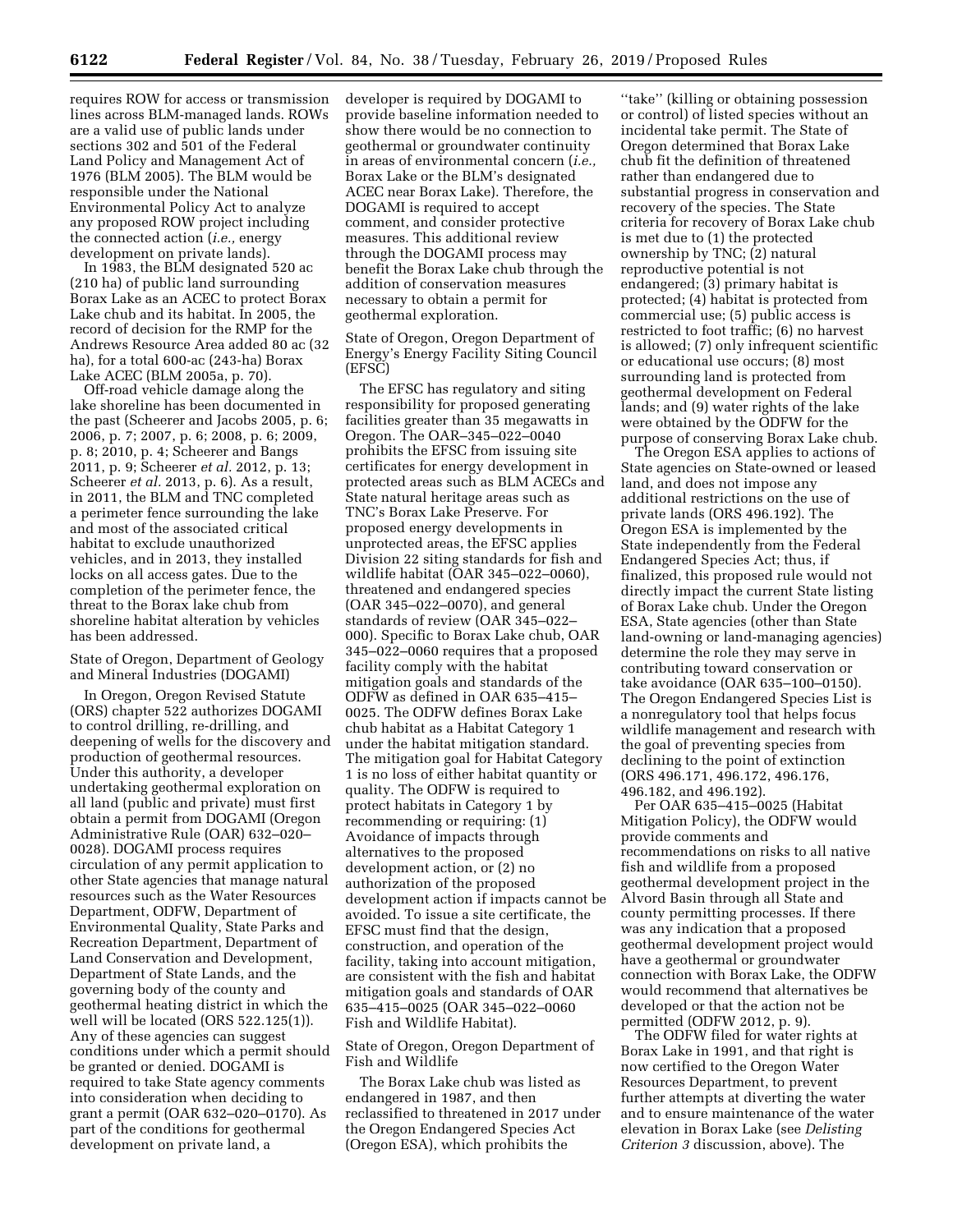requires ROW for access or transmission lines across BLM-managed lands. ROWs are a valid use of public lands under sections 302 and 501 of the Federal Land Policy and Management Act of 1976 (BLM 2005). The BLM would be responsible under the National Environmental Policy Act to analyze any proposed ROW project including the connected action (*i.e.,* energy development on private lands).

In 1983, the BLM designated 520 ac (210 ha) of public land surrounding Borax Lake as an ACEC to protect Borax Lake chub and its habitat. In 2005, the record of decision for the RMP for the Andrews Resource Area added 80 ac (32 ha), for a total 600-ac (243-ha) Borax Lake ACEC (BLM 2005a, p. 70).

Off-road vehicle damage along the lake shoreline has been documented in the past (Scheerer and Jacobs 2005, p. 6; 2006, p. 7; 2007, p. 6; 2008, p. 6; 2009, p. 8; 2010, p. 4; Scheerer and Bangs 2011, p. 9; Scheerer *et al.* 2012, p. 13; Scheerer *et al.* 2013, p. 6). As a result, in 2011, the BLM and TNC completed a perimeter fence surrounding the lake and most of the associated critical habitat to exclude unauthorized vehicles, and in 2013, they installed locks on all access gates. Due to the completion of the perimeter fence, the threat to the Borax lake chub from shoreline habitat alteration by vehicles has been addressed.

# State of Oregon, Department of Geology and Mineral Industries (DOGAMI)

In Oregon, Oregon Revised Statute (ORS) chapter 522 authorizes DOGAMI to control drilling, re-drilling, and deepening of wells for the discovery and production of geothermal resources. Under this authority, a developer undertaking geothermal exploration on all land (public and private) must first obtain a permit from DOGAMI (Oregon Administrative Rule (OAR) 632–020– 0028). DOGAMI process requires circulation of any permit application to other State agencies that manage natural resources such as the Water Resources Department, ODFW, Department of Environmental Quality, State Parks and Recreation Department, Department of Land Conservation and Development, Department of State Lands, and the governing body of the county and geothermal heating district in which the well will be located (ORS 522.125(1)). Any of these agencies can suggest conditions under which a permit should be granted or denied. DOGAMI is required to take State agency comments into consideration when deciding to grant a permit (OAR 632–020–0170). As part of the conditions for geothermal development on private land, a

developer is required by DOGAMI to provide baseline information needed to show there would be no connection to geothermal or groundwater continuity in areas of environmental concern (*i.e.,*  Borax Lake or the BLM's designated ACEC near Borax Lake). Therefore, the DOGAMI is required to accept comment, and consider protective measures. This additional review through the DOGAMI process may benefit the Borax Lake chub through the addition of conservation measures necessary to obtain a permit for geothermal exploration.

State of Oregon, Oregon Department of Energy's Energy Facility Siting Council (EFSC)

The EFSC has regulatory and siting responsibility for proposed generating facilities greater than 35 megawatts in Oregon. The OAR–345–022–0040 prohibits the EFSC from issuing site certificates for energy development in protected areas such as BLM ACECs and State natural heritage areas such as TNC's Borax Lake Preserve. For proposed energy developments in unprotected areas, the EFSC applies Division 22 siting standards for fish and wildlife habitat (OAR 345–022–0060), threatened and endangered species (OAR 345–022–0070), and general standards of review (OAR 345–022– 000). Specific to Borax Lake chub, OAR 345–022–0060 requires that a proposed facility comply with the habitat mitigation goals and standards of the ODFW as defined in OAR 635–415– 0025. The ODFW defines Borax Lake chub habitat as a Habitat Category 1 under the habitat mitigation standard. The mitigation goal for Habitat Category 1 is no loss of either habitat quantity or quality. The ODFW is required to protect habitats in Category 1 by recommending or requiring: (1) Avoidance of impacts through alternatives to the proposed development action, or (2) no authorization of the proposed development action if impacts cannot be avoided. To issue a site certificate, the EFSC must find that the design, construction, and operation of the facility, taking into account mitigation, are consistent with the fish and habitat mitigation goals and standards of OAR 635–415–0025 (OAR 345–022–0060 Fish and Wildlife Habitat).

State of Oregon, Oregon Department of Fish and Wildlife

The Borax Lake chub was listed as endangered in 1987, and then reclassified to threatened in 2017 under the Oregon Endangered Species Act (Oregon ESA), which prohibits the

''take'' (killing or obtaining possession or control) of listed species without an incidental take permit. The State of Oregon determined that Borax Lake chub fit the definition of threatened rather than endangered due to substantial progress in conservation and recovery of the species. The State criteria for recovery of Borax Lake chub is met due to (1) the protected ownership by TNC; (2) natural reproductive potential is not endangered; (3) primary habitat is protected; (4) habitat is protected from commercial use; (5) public access is restricted to foot traffic; (6) no harvest is allowed; (7) only infrequent scientific or educational use occurs; (8) most surrounding land is protected from geothermal development on Federal lands; and (9) water rights of the lake were obtained by the ODFW for the purpose of conserving Borax Lake chub.

The Oregon ESA applies to actions of State agencies on State-owned or leased land, and does not impose any additional restrictions on the use of private lands (ORS 496.192). The Oregon ESA is implemented by the State independently from the Federal Endangered Species Act; thus, if finalized, this proposed rule would not directly impact the current State listing of Borax Lake chub. Under the Oregon ESA, State agencies (other than State land-owning or land-managing agencies) determine the role they may serve in contributing toward conservation or take avoidance (OAR 635–100–0150). The Oregon Endangered Species List is a nonregulatory tool that helps focus wildlife management and research with the goal of preventing species from declining to the point of extinction (ORS 496.171, 496.172, 496.176, 496.182, and 496.192).

Per OAR 635–415–0025 (Habitat Mitigation Policy), the ODFW would provide comments and recommendations on risks to all native fish and wildlife from a proposed geothermal development project in the Alvord Basin through all State and county permitting processes. If there was any indication that a proposed geothermal development project would have a geothermal or groundwater connection with Borax Lake, the ODFW would recommend that alternatives be developed or that the action not be permitted (ODFW 2012, p. 9).

The ODFW filed for water rights at Borax Lake in 1991, and that right is now certified to the Oregon Water Resources Department, to prevent further attempts at diverting the water and to ensure maintenance of the water elevation in Borax Lake (see *Delisting Criterion 3* discussion, above). The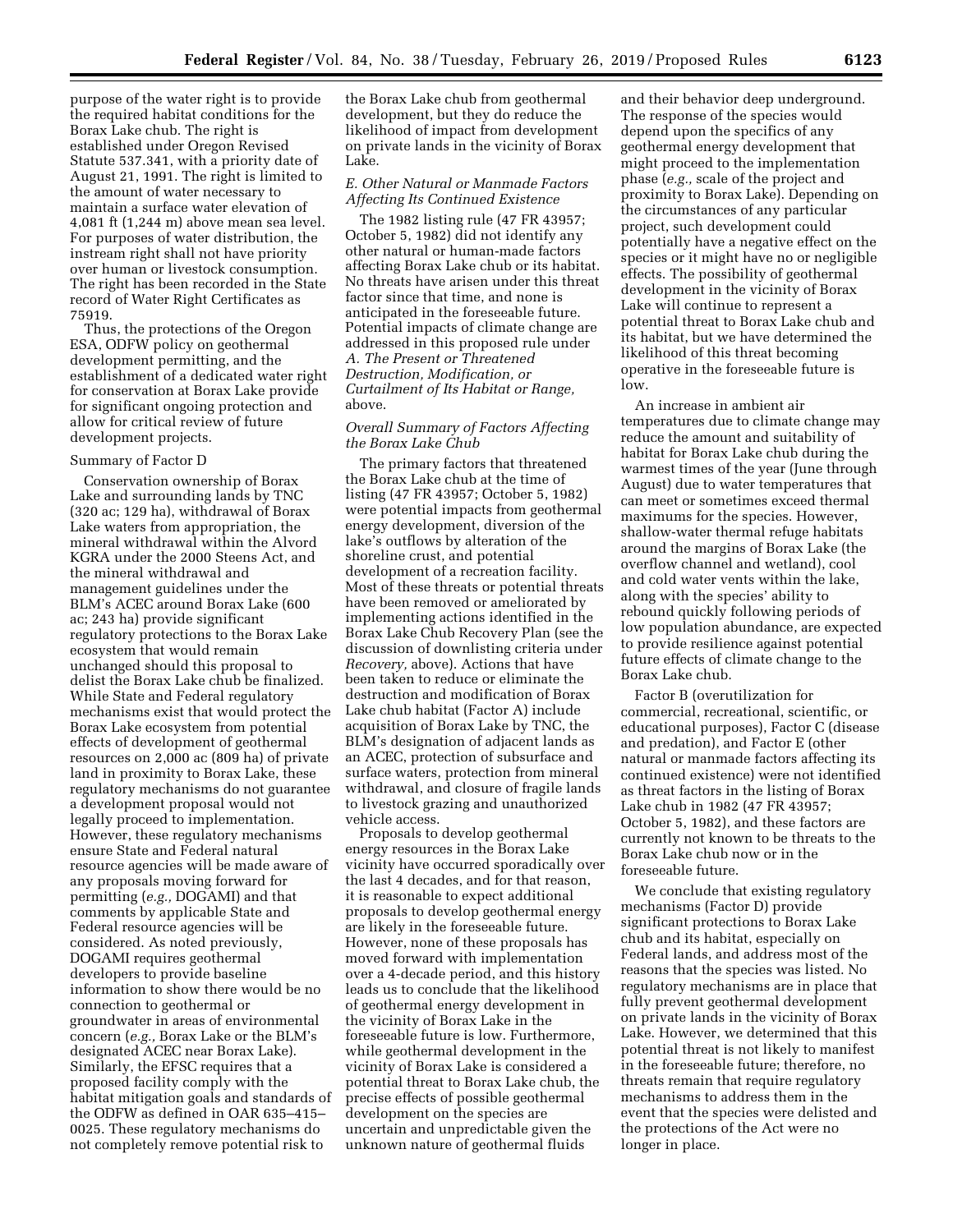purpose of the water right is to provide the required habitat conditions for the Borax Lake chub. The right is established under Oregon Revised Statute 537.341, with a priority date of August 21, 1991. The right is limited to the amount of water necessary to maintain a surface water elevation of 4,081 ft (1,244 m) above mean sea level. For purposes of water distribution, the instream right shall not have priority over human or livestock consumption. The right has been recorded in the State record of Water Right Certificates as 75919.

Thus, the protections of the Oregon ESA, ODFW policy on geothermal development permitting, and the establishment of a dedicated water right for conservation at Borax Lake provide for significant ongoing protection and allow for critical review of future development projects.

# Summary of Factor D

Conservation ownership of Borax Lake and surrounding lands by TNC (320 ac; 129 ha), withdrawal of Borax Lake waters from appropriation, the mineral withdrawal within the Alvord KGRA under the 2000 Steens Act, and the mineral withdrawal and management guidelines under the BLM's ACEC around Borax Lake (600 ac; 243 ha) provide significant regulatory protections to the Borax Lake ecosystem that would remain unchanged should this proposal to delist the Borax Lake chub be finalized. While State and Federal regulatory mechanisms exist that would protect the Borax Lake ecosystem from potential effects of development of geothermal resources on 2,000 ac (809 ha) of private land in proximity to Borax Lake, these regulatory mechanisms do not guarantee a development proposal would not legally proceed to implementation. However, these regulatory mechanisms ensure State and Federal natural resource agencies will be made aware of any proposals moving forward for permitting (*e.g.,* DOGAMI) and that comments by applicable State and Federal resource agencies will be considered. As noted previously, DOGAMI requires geothermal developers to provide baseline information to show there would be no connection to geothermal or groundwater in areas of environmental concern (*e.g.,* Borax Lake or the BLM's designated ACEC near Borax Lake). Similarly, the EFSC requires that a proposed facility comply with the habitat mitigation goals and standards of the ODFW as defined in OAR 635–415– 0025. These regulatory mechanisms do not completely remove potential risk to

the Borax Lake chub from geothermal development, but they do reduce the likelihood of impact from development on private lands in the vicinity of Borax Lake.

# *E. Other Natural or Manmade Factors Affecting Its Continued Existence*

The 1982 listing rule (47 FR 43957; October 5, 1982) did not identify any other natural or human-made factors affecting Borax Lake chub or its habitat. No threats have arisen under this threat factor since that time, and none is anticipated in the foreseeable future. Potential impacts of climate change are addressed in this proposed rule under *A. The Present or Threatened Destruction, Modification, or Curtailment of Its Habitat or Range,*  above.

# *Overall Summary of Factors Affecting the Borax Lake Chub*

The primary factors that threatened the Borax Lake chub at the time of listing (47 FR 43957; October 5, 1982) were potential impacts from geothermal energy development, diversion of the lake's outflows by alteration of the shoreline crust, and potential development of a recreation facility. Most of these threats or potential threats have been removed or ameliorated by implementing actions identified in the Borax Lake Chub Recovery Plan (see the discussion of downlisting criteria under *Recovery,* above). Actions that have been taken to reduce or eliminate the destruction and modification of Borax Lake chub habitat (Factor A) include acquisition of Borax Lake by TNC, the BLM's designation of adjacent lands as an ACEC, protection of subsurface and surface waters, protection from mineral withdrawal, and closure of fragile lands to livestock grazing and unauthorized vehicle access.

Proposals to develop geothermal energy resources in the Borax Lake vicinity have occurred sporadically over the last 4 decades, and for that reason, it is reasonable to expect additional proposals to develop geothermal energy are likely in the foreseeable future. However, none of these proposals has moved forward with implementation over a 4-decade period, and this history leads us to conclude that the likelihood of geothermal energy development in the vicinity of Borax Lake in the foreseeable future is low. Furthermore, while geothermal development in the vicinity of Borax Lake is considered a potential threat to Borax Lake chub, the precise effects of possible geothermal development on the species are uncertain and unpredictable given the unknown nature of geothermal fluids

and their behavior deep underground. The response of the species would depend upon the specifics of any geothermal energy development that might proceed to the implementation phase (*e.g.,* scale of the project and proximity to Borax Lake). Depending on the circumstances of any particular project, such development could potentially have a negative effect on the species or it might have no or negligible effects. The possibility of geothermal development in the vicinity of Borax Lake will continue to represent a potential threat to Borax Lake chub and its habitat, but we have determined the likelihood of this threat becoming operative in the foreseeable future is low.

An increase in ambient air temperatures due to climate change may reduce the amount and suitability of habitat for Borax Lake chub during the warmest times of the year (June through August) due to water temperatures that can meet or sometimes exceed thermal maximums for the species. However, shallow-water thermal refuge habitats around the margins of Borax Lake (the overflow channel and wetland), cool and cold water vents within the lake, along with the species' ability to rebound quickly following periods of low population abundance, are expected to provide resilience against potential future effects of climate change to the Borax Lake chub.

Factor B (overutilization for commercial, recreational, scientific, or educational purposes), Factor C (disease and predation), and Factor E (other natural or manmade factors affecting its continued existence) were not identified as threat factors in the listing of Borax Lake chub in 1982 (47 FR 43957; October 5, 1982), and these factors are currently not known to be threats to the Borax Lake chub now or in the foreseeable future.

We conclude that existing regulatory mechanisms (Factor D) provide significant protections to Borax Lake chub and its habitat, especially on Federal lands, and address most of the reasons that the species was listed. No regulatory mechanisms are in place that fully prevent geothermal development on private lands in the vicinity of Borax Lake. However, we determined that this potential threat is not likely to manifest in the foreseeable future; therefore, no threats remain that require regulatory mechanisms to address them in the event that the species were delisted and the protections of the Act were no longer in place.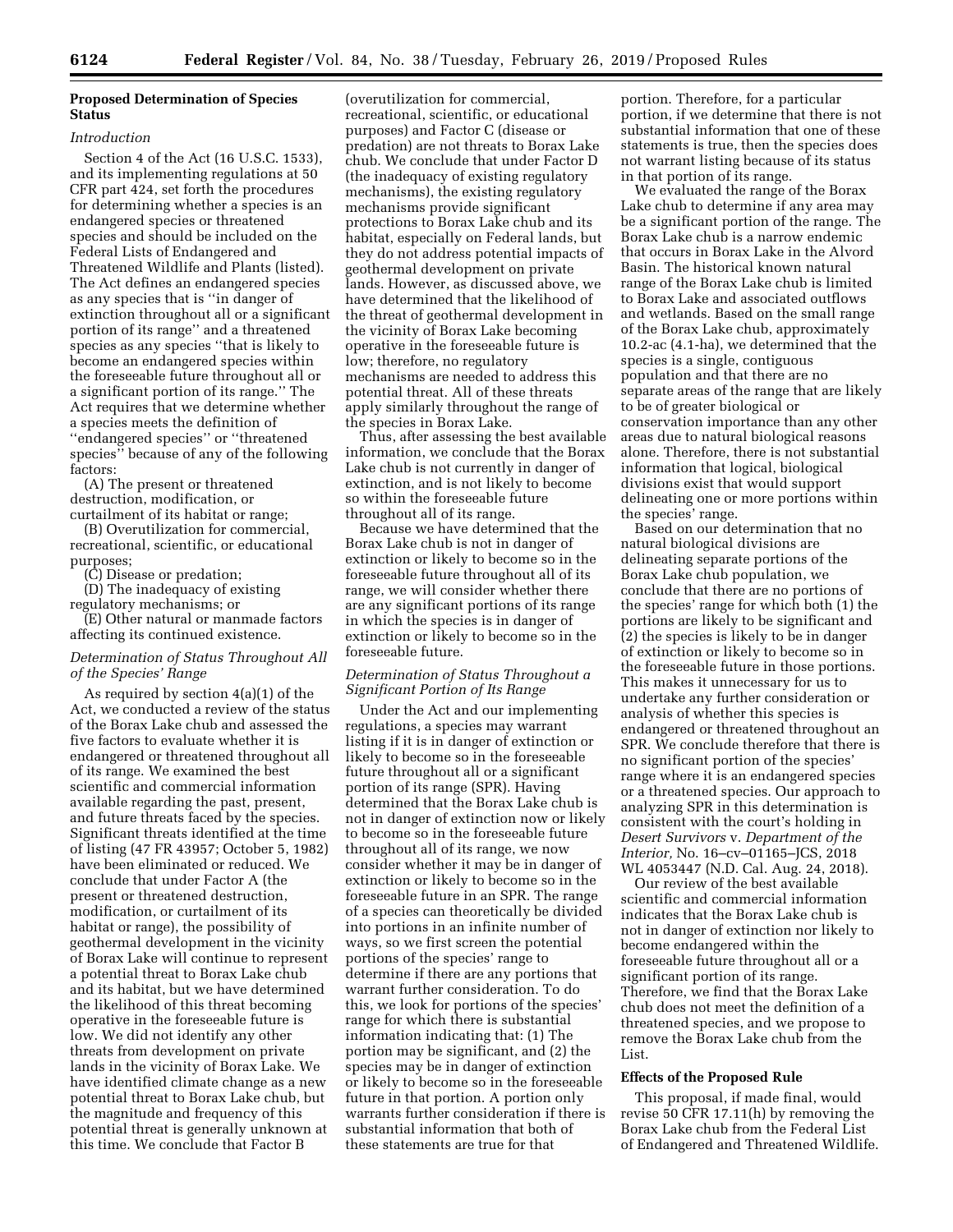# **Proposed Determination of Species Status**

### *Introduction*

Section 4 of the Act (16 U.S.C. 1533), and its implementing regulations at 50 CFR part 424, set forth the procedures for determining whether a species is an endangered species or threatened species and should be included on the Federal Lists of Endangered and Threatened Wildlife and Plants (listed). The Act defines an endangered species as any species that is ''in danger of extinction throughout all or a significant portion of its range'' and a threatened species as any species ''that is likely to become an endangered species within the foreseeable future throughout all or a significant portion of its range.'' The Act requires that we determine whether a species meets the definition of ''endangered species'' or ''threatened species'' because of any of the following factors:

(A) The present or threatened destruction, modification, or curtailment of its habitat or range;

(B) Overutilization for commercial, recreational, scientific, or educational purposes;

(C) Disease or predation;

(D) The inadequacy of existing regulatory mechanisms; or

(E) Other natural or manmade factors affecting its continued existence.

# *Determination of Status Throughout All of the Species' Range*

As required by section 4(a)(1) of the Act, we conducted a review of the status of the Borax Lake chub and assessed the five factors to evaluate whether it is endangered or threatened throughout all of its range. We examined the best scientific and commercial information available regarding the past, present, and future threats faced by the species. Significant threats identified at the time of listing (47 FR 43957; October 5, 1982) have been eliminated or reduced. We conclude that under Factor A (the present or threatened destruction, modification, or curtailment of its habitat or range), the possibility of geothermal development in the vicinity of Borax Lake will continue to represent a potential threat to Borax Lake chub and its habitat, but we have determined the likelihood of this threat becoming operative in the foreseeable future is low. We did not identify any other threats from development on private lands in the vicinity of Borax Lake. We have identified climate change as a new potential threat to Borax Lake chub, but the magnitude and frequency of this potential threat is generally unknown at this time. We conclude that Factor B

(overutilization for commercial, recreational, scientific, or educational purposes) and Factor C (disease or predation) are not threats to Borax Lake chub. We conclude that under Factor D (the inadequacy of existing regulatory mechanisms), the existing regulatory mechanisms provide significant protections to Borax Lake chub and its habitat, especially on Federal lands, but they do not address potential impacts of geothermal development on private lands. However, as discussed above, we have determined that the likelihood of the threat of geothermal development in the vicinity of Borax Lake becoming operative in the foreseeable future is low; therefore, no regulatory mechanisms are needed to address this potential threat. All of these threats apply similarly throughout the range of the species in Borax Lake.

Thus, after assessing the best available information, we conclude that the Borax Lake chub is not currently in danger of extinction, and is not likely to become so within the foreseeable future throughout all of its range.

Because we have determined that the Borax Lake chub is not in danger of extinction or likely to become so in the foreseeable future throughout all of its range, we will consider whether there are any significant portions of its range in which the species is in danger of extinction or likely to become so in the foreseeable future.

# *Determination of Status Throughout a Significant Portion of Its Range*

Under the Act and our implementing regulations, a species may warrant listing if it is in danger of extinction or likely to become so in the foreseeable future throughout all or a significant portion of its range (SPR). Having determined that the Borax Lake chub is not in danger of extinction now or likely to become so in the foreseeable future throughout all of its range, we now consider whether it may be in danger of extinction or likely to become so in the foreseeable future in an SPR. The range of a species can theoretically be divided into portions in an infinite number of ways, so we first screen the potential portions of the species' range to determine if there are any portions that warrant further consideration. To do this, we look for portions of the species' range for which there is substantial information indicating that: (1) The portion may be significant, and (2) the species may be in danger of extinction or likely to become so in the foreseeable future in that portion. A portion only warrants further consideration if there is substantial information that both of these statements are true for that

portion. Therefore, for a particular portion, if we determine that there is not substantial information that one of these statements is true, then the species does not warrant listing because of its status in that portion of its range.

We evaluated the range of the Borax Lake chub to determine if any area may be a significant portion of the range. The Borax Lake chub is a narrow endemic that occurs in Borax Lake in the Alvord Basin. The historical known natural range of the Borax Lake chub is limited to Borax Lake and associated outflows and wetlands. Based on the small range of the Borax Lake chub, approximately 10.2-ac (4.1-ha), we determined that the species is a single, contiguous population and that there are no separate areas of the range that are likely to be of greater biological or conservation importance than any other areas due to natural biological reasons alone. Therefore, there is not substantial information that logical, biological divisions exist that would support delineating one or more portions within the species' range.

Based on our determination that no natural biological divisions are delineating separate portions of the Borax Lake chub population, we conclude that there are no portions of the species' range for which both (1) the portions are likely to be significant and (2) the species is likely to be in danger of extinction or likely to become so in the foreseeable future in those portions. This makes it unnecessary for us to undertake any further consideration or analysis of whether this species is endangered or threatened throughout an SPR. We conclude therefore that there is no significant portion of the species' range where it is an endangered species or a threatened species. Our approach to analyzing SPR in this determination is consistent with the court's holding in *Desert Survivors* v. *Department of the Interior,* No. 16–cv–01165–JCS, 2018 WL 4053447 (N.D. Cal. Aug. 24, 2018).

Our review of the best available scientific and commercial information indicates that the Borax Lake chub is not in danger of extinction nor likely to become endangered within the foreseeable future throughout all or a significant portion of its range. Therefore, we find that the Borax Lake chub does not meet the definition of a threatened species, and we propose to remove the Borax Lake chub from the List.

### **Effects of the Proposed Rule**

This proposal, if made final, would revise 50 CFR 17.11(h) by removing the Borax Lake chub from the Federal List of Endangered and Threatened Wildlife.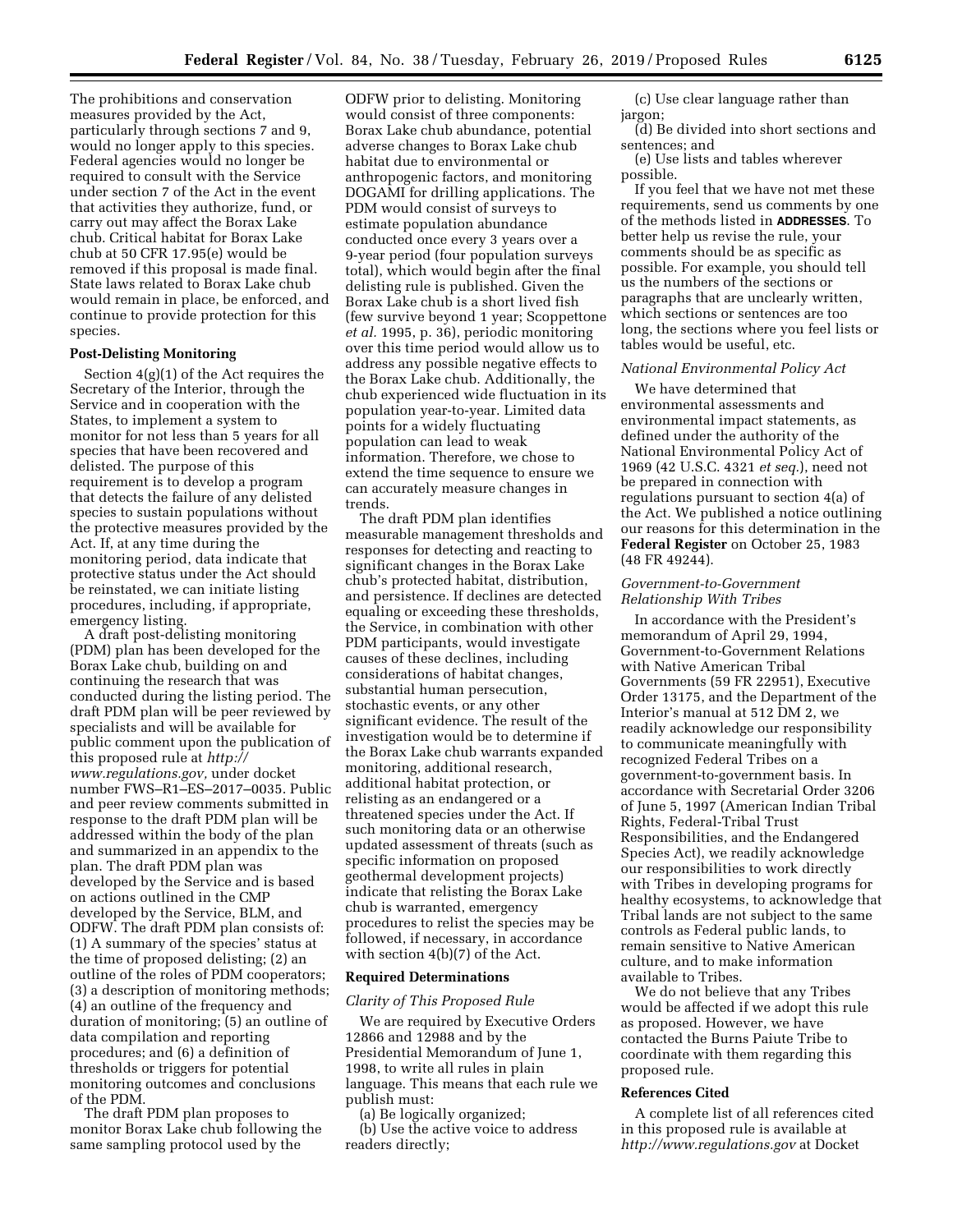The prohibitions and conservation measures provided by the Act, particularly through sections 7 and 9, would no longer apply to this species. Federal agencies would no longer be required to consult with the Service under section 7 of the Act in the event that activities they authorize, fund, or carry out may affect the Borax Lake chub. Critical habitat for Borax Lake chub at 50 CFR 17.95(e) would be removed if this proposal is made final. State laws related to Borax Lake chub would remain in place, be enforced, and continue to provide protection for this species.

# **Post-Delisting Monitoring**

Section 4(g)(1) of the Act requires the Secretary of the Interior, through the Service and in cooperation with the States, to implement a system to monitor for not less than 5 years for all species that have been recovered and delisted. The purpose of this requirement is to develop a program that detects the failure of any delisted species to sustain populations without the protective measures provided by the Act. If, at any time during the monitoring period, data indicate that protective status under the Act should be reinstated, we can initiate listing procedures, including, if appropriate, emergency listing.

A draft post-delisting monitoring (PDM) plan has been developed for the Borax Lake chub, building on and continuing the research that was conducted during the listing period. The draft PDM plan will be peer reviewed by specialists and will be available for public comment upon the publication of this proposed rule at *[http://](http://www.regulations.gov) [www.regulations.gov,](http://www.regulations.gov)* under docket number FWS–R1–ES–2017–0035. Public and peer review comments submitted in response to the draft PDM plan will be addressed within the body of the plan and summarized in an appendix to the plan. The draft PDM plan was developed by the Service and is based on actions outlined in the CMP developed by the Service, BLM, and ODFW. The draft PDM plan consists of: (1) A summary of the species' status at the time of proposed delisting; (2) an outline of the roles of PDM cooperators; (3) a description of monitoring methods; (4) an outline of the frequency and duration of monitoring; (5) an outline of data compilation and reporting procedures; and (6) a definition of thresholds or triggers for potential monitoring outcomes and conclusions of the PDM.

The draft PDM plan proposes to monitor Borax Lake chub following the same sampling protocol used by the

ODFW prior to delisting. Monitoring would consist of three components: Borax Lake chub abundance, potential adverse changes to Borax Lake chub habitat due to environmental or anthropogenic factors, and monitoring DOGAMI for drilling applications. The PDM would consist of surveys to estimate population abundance conducted once every 3 years over a 9-year period (four population surveys total), which would begin after the final delisting rule is published. Given the Borax Lake chub is a short lived fish (few survive beyond 1 year; Scoppettone *et al.* 1995, p. 36), periodic monitoring over this time period would allow us to address any possible negative effects to the Borax Lake chub. Additionally, the chub experienced wide fluctuation in its population year-to-year. Limited data points for a widely fluctuating population can lead to weak information. Therefore, we chose to extend the time sequence to ensure we can accurately measure changes in trends.

The draft PDM plan identifies measurable management thresholds and responses for detecting and reacting to significant changes in the Borax Lake chub's protected habitat, distribution, and persistence. If declines are detected equaling or exceeding these thresholds, the Service, in combination with other PDM participants, would investigate causes of these declines, including considerations of habitat changes, substantial human persecution, stochastic events, or any other significant evidence. The result of the investigation would be to determine if the Borax Lake chub warrants expanded monitoring, additional research, additional habitat protection, or relisting as an endangered or a threatened species under the Act. If such monitoring data or an otherwise updated assessment of threats (such as specific information on proposed geothermal development projects) indicate that relisting the Borax Lake chub is warranted, emergency procedures to relist the species may be followed, if necessary, in accordance with section 4(b)(7) of the Act.

### **Required Determinations**

### *Clarity of This Proposed Rule*

We are required by Executive Orders 12866 and 12988 and by the Presidential Memorandum of June 1, 1998, to write all rules in plain language. This means that each rule we publish must:

(a) Be logically organized;

(b) Use the active voice to address readers directly;

(c) Use clear language rather than jargon;

(d) Be divided into short sections and sentences; and

(e) Use lists and tables wherever possible.

If you feel that we have not met these requirements, send us comments by one of the methods listed in **ADDRESSES**. To better help us revise the rule, your comments should be as specific as possible. For example, you should tell us the numbers of the sections or paragraphs that are unclearly written, which sections or sentences are too long, the sections where you feel lists or tables would be useful, etc.

# *National Environmental Policy Act*

We have determined that environmental assessments and environmental impact statements, as defined under the authority of the National Environmental Policy Act of 1969 (42 U.S.C. 4321 *et seq.*), need not be prepared in connection with regulations pursuant to section 4(a) of the Act. We published a notice outlining our reasons for this determination in the **Federal Register** on October 25, 1983 (48 FR 49244).

# *Government-to-Government Relationship With Tribes*

In accordance with the President's memorandum of April 29, 1994, Government-to-Government Relations with Native American Tribal Governments (59 FR 22951), Executive Order 13175, and the Department of the Interior's manual at 512 DM 2, we readily acknowledge our responsibility to communicate meaningfully with recognized Federal Tribes on a government-to-government basis. In accordance with Secretarial Order 3206 of June 5, 1997 (American Indian Tribal Rights, Federal-Tribal Trust Responsibilities, and the Endangered Species Act), we readily acknowledge our responsibilities to work directly with Tribes in developing programs for healthy ecosystems, to acknowledge that Tribal lands are not subject to the same controls as Federal public lands, to remain sensitive to Native American culture, and to make information available to Tribes.

We do not believe that any Tribes would be affected if we adopt this rule as proposed. However, we have contacted the Burns Paiute Tribe to coordinate with them regarding this proposed rule.

# **References Cited**

A complete list of all references cited in this proposed rule is available at *<http://www.regulations.gov>* at Docket